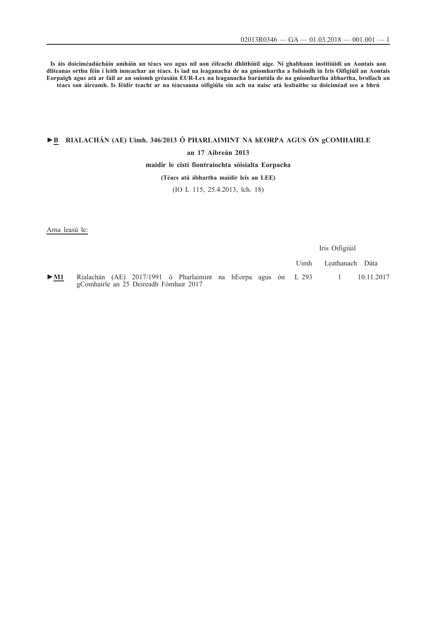**Is áis doiciméadúcháin amháin an téacs seo agus níl aon éifeacht dhlíthiúil aige. Ní ghabhann institiúidí an Aontais aon dliteanas orthu féin i leith inneachar an téacs. Is iad na leaganacha de na gníomhartha a foilsíodh in Iris Oifigiúil an Aontais Eorpaigh agus atá ar fáil ar an suíomh gréasáin EUR-Lex na leaganacha barántúla de na gníomhartha ábhartha, brollach an téacs san áireamh. Is féidir teacht ar na téacsanna oifigiúla sin ach na naisc atá leabaithe sa doiciméad seo a bhrú**

# **►B [RIALACHÁN \(AE\) Uimh. 346/2013 Ó PHARLAIMINT NA hEORPA AGUS ÓN gCOMHAIRLE](http://data.europa.eu/eli/reg/2013/346/oj/gle)**

## **[an 17 Aibreán 2013](http://data.europa.eu/eli/reg/2013/346/oj/gle)**

#### **[maidir le cistí fiontraíochta sóisialta Eorpacha](http://data.europa.eu/eli/reg/2013/346/oj/gle)**

## **[\(Téacs atá ábhartha maidir leis an LEE\)](http://data.europa.eu/eli/reg/2013/346/oj/gle)**

## [\(IO L 115, 25.4.2013, lch. 18\)](http://data.europa.eu/eli/reg/2013/346/oj/gle)

Arna leasú le:

Iris Oifigiúil Uimh Leathanach Dáta

[►](http://data.europa.eu/eli/reg/2017/1991/oj/gle)**[M1](http://data.europa.eu/eli/reg/2017/1991/oj/gle)** [Rialachán \(AE\) 2017/1991 ó Pharlaimint na hEorpa agus ón](http://data.europa.eu/eli/reg/2017/1991/oj/gle) [gComhairle an 25 Deireadh Fómhair 2017](http://data.europa.eu/eli/reg/2017/1991/oj/gle) [L 293 1 10.11.2017](http://data.europa.eu/eli/reg/2017/1991/oj/gle)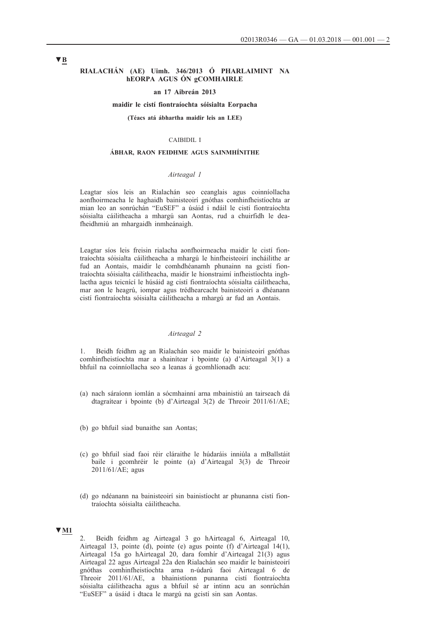#### **RIALACHÁN (AE) Uimh. 346/2013 Ó PHARLAIMINT NA hEORPA AGUS ÓN gCOMHAIRLE**

#### **an 17 Aibreán 2013**

#### **maidir le cistí fiontraíochta sóisialta Eorpacha**

**(Téacs atá ábhartha maidir leis an LEE)**

#### CAIBIDIL I

#### **ÁBHAR, RAON FEIDHME AGUS SAINMHÍNITHE**

#### *Airteagal 1*

Leagtar síos leis an Rialachán seo ceanglais agus coinníollacha aonfhoirmeacha le haghaidh bainisteoirí gnóthas comhinfheistíochta ar mian leo an sonrúchán "EuSEF" a úsáid i ndáil le cistí fiontraíochta sóisialta cáilitheacha a mhargú san Aontas, rud a chuirfidh le deafheidhmiú an mhargaidh inmheánaigh.

Leagtar síos leis freisin rialacha aonfhoirmeacha maidir le cistí fiontraíochta sóisialta cáilitheacha a mhargú le hinfheisteoirí incháilithe ar fud an Aontais, maidir le comhdhéanamh phunainn na gcistí fiontraíochta sóisialta cáilitheacha, maidir le hionstraimí infheistíochta inghlactha agus teicnící le húsáid ag cistí fiontraíochta sóisialta cáilitheacha, mar aon le heagrú, iompar agus trédhearcacht bainisteoirí a dhéanann cistí fiontraíochta sóisialta cáilitheacha a mhargú ar fud an Aontais.

#### *Airteagal 2*

1. Beidh feidhm ag an Rialachán seo maidir le bainisteoirí gnóthas comhinfheistíochta mar a shainítear i bpointe (a) d'Airteagal 3(1) a bhfuil na coinníollacha seo a leanas á gcomhlíonadh acu:

- (a) nach sáraíonn iomlán a sócmhainní arna mbainistiú an tairseach dá dtagraítear i bpointe (b) d'Airteagal 3(2) de Threoir 2011/61/AE;
- (b) go bhfuil siad bunaithe san Aontas;
- (c) go bhfuil siad faoi réir cláraithe le húdaráis inniúla a mBallstáit baile i gcomhréir le pointe (a) d'Airteagal 3(3) de Threoir 2011/61/AE; agus
- (d) go ndéanann na bainisteoirí sin bainistíocht ar phunanna cistí fiontraíochta sóisialta cáilitheacha.

## **▼M1**

2. Beidh feidhm ag Airteagal 3 go hAirteagal 6, Airteagal 10, Airteagal 13, pointe (d), pointe (e) agus pointe (f) d'Airteagal 14(1), Airteagal 15a go hAirteagal 20, dara fomhír d'Airteagal 21(3) agus Airteagal 22 agus Airteagal 22a den Rialachán seo maidir le bainisteoirí gnóthas comhinfheistíochta arna n-údarú faoi Airteagal 6 de Threoir 2011/61/AE, a bhainistíonn punanna cistí fiontraíochta sóisialta cáilitheacha agus a bhfuil sé ar intinn acu an sonrúchán "EuSEF" a úsáid i dtaca le margú na gcistí sin san Aontas.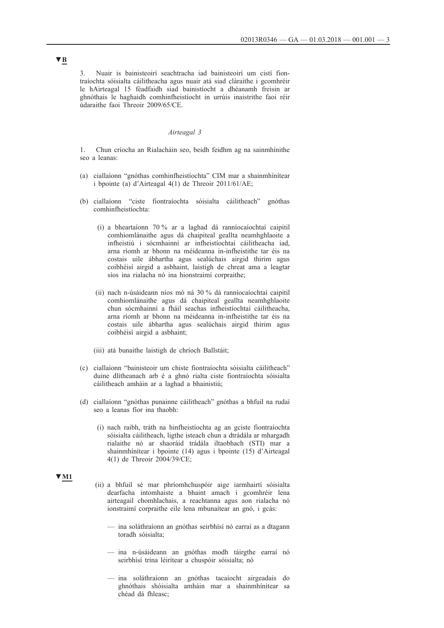3. Nuair is bainisteoirí seachtracha iad bainisteoirí um cistí fiontraíochta sóisialta cáilitheacha agus nuair atá siad cláraithe i gcomhréir le hAirteagal 15 féadfaidh siad bainistíocht a dhéanamh freisin ar ghnóthais le haghaidh comhinfheistíocht in urrúis inaistrithe faoi réir údaraithe faoi Threoir 2009/65/CE.

#### *Airteagal 3*

1. Chun críocha an Rialacháin seo, beidh feidhm ag na sainmhínithe seo a leanas:

- (a) ciallaíonn "gnóthas comhinfheistíochta" CIM mar a shainmhínítear i bpointe (a) d'Airteagal 4(1) de Threoir 2011/61/AE;
- (b) ciallaíonn "ciste fiontraíochta sóisialta cáilitheach" gnóthas comhinfheistíochta:
	- (i) a bheartaíonn 70 % ar a laghad dá ranníocaíochtaí caipitil comhiomlánaithe agus dá chaipiteal geallta neamhghlaoite a infheistiú i sócmhainní ar infheistíochtaí cáilitheacha iad, arna ríomh ar bhonn na méideanna in-infheistithe tar éis na costais uile ábhartha agus sealúchais airgid thirim agus coibhéisí airgid a asbhaint, laistigh de chreat ama a leagtar síos ina rialacha nó ina hionstraimí corpraithe;
	- (ii) nach n-úsáideann níos mó ná 30 % dá ranníocaíochtaí caipitil comhiomlánaithe agus dá chaipiteal geallta neamhghlaoite chun sócmhainní a fháil seachas infheistíochtaí cáilitheacha, arna ríomh ar bhonn na méideanna in-infheistithe tar éis na costais uile ábhartha agus sealúchais airgid thirim agus coibhéisí airgid a asbhaint;
	- (iii) atá bunaithe laistigh de chríoch Ballstáit;
- (c) ciallaíonn "bainisteoir um chiste fiontraíochta sóisialta cáilitheach" duine dlítheanach arb é a ghnó rialta ciste fiontraíochta sóisialta cáilitheach amháin ar a laghad a bhainistiú;
- (d) ciallaíonn "gnóthas punainne cáilitheach" gnóthas a bhfuil na rudaí seo a leanas fíor ina thaobh:
	- (i) nach raibh, tráth na hinfheistíochta ag an gciste fiontraíochta sóisialta cáilitheach, ligthe isteach chun a dtrádála ar mhargadh rialaithe nó ar shaoráid trádála iltaobhach (STI) mar a shainmhínítear i bpointe (14) agus i bpointe (15) d'Airteagal 4(1) de Threoir 2004/39/CE;

# **▼M1**

- (ii) a bhfuil sé mar phríomhchuspóir aige iarmhairtí sóisialta dearfacha intomhaiste a bhaint amach i gcomhréir lena airteagail chomhlachais, a reachtanna agus aon rialacha nó ionstraimí corpraithe eile lena mbunaítear an gnó, i gcás:
	- ina soláthraíonn an gnóthas seirbhísí nó earraí as a dtagann toradh sóisialta;
	- ina n-úsáideann an gnóthas modh táirgthe earraí nó seirbhísí trína léirítear a chuspóir sóisialta; nó
	- ina soláthraíonn an gnóthas tacaíocht airgeadais do ghnóthais shóisialta amháin mar a shainmhínítear sa chéad dá fhleasc;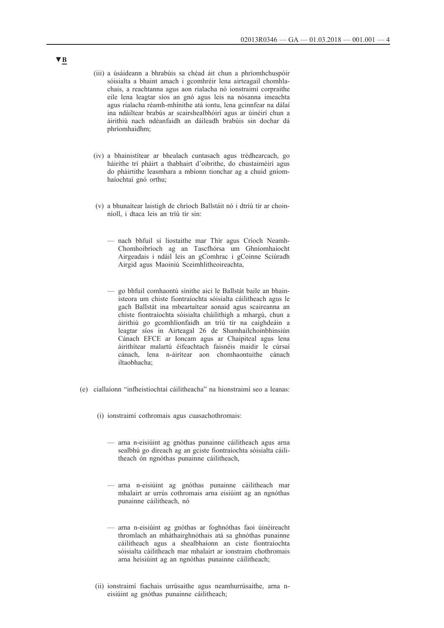- (iii) a úsáideann a bhrabúis sa chéad áit chun a phríomhchuspóir sóisialta a bhaint amach i gcomhréir lena airteagail chomhlachais, a reachtanna agus aon rialacha nó ionstraimí corpraithe eile lena leagtar síos an gnó agus leis na nósanna imeachta agus rialacha réamh-mhínithe atá iontu, lena gcinnfear na dálaí ina ndáiltear brabús ar scairshealbhóirí agus ar úinéirí chun a áirithiú nach ndéanfaidh an dáileadh brabúis sin dochar dá phríomhaidhm;
- (iv) a bhainistítear ar bhealach cuntasach agus trédhearcach, go háirithe trí pháirt a thabhairt d'oibrithe, do chustaiméirí agus do pháirtithe leasmhara a mbíonn tionchar ag a chuid gníomhaíochtaí gnó orthu;
- (v) a bhunaítear laistigh de chríoch Ballstáit nó i dtríú tír ar choinníoll, i dtaca leis an tríú tír sin:
	- nach bhfuil sí liostaithe mar Thír agus Críoch Neamh-Chomhoibríoch ag an Tascfhórsa um Ghníomhaíocht Airgeadais i ndáil leis an gComhrac i gCoinne Sciúradh Airgid agus Maoiniú Sceimhlitheoireachta,
	- go bhfuil comhaontú sínithe aici le Ballstát baile an bhainisteora um chiste fiontraíochta sóisialta cáilitheach agus le gach Ballstát ina mbeartaítear aonaid agus scaireanna an chiste fiontraíochta sóisialta cháilithigh a mhargú, chun a áirithiú go gcomhlíonfaidh an tríú tír na caighdeáin a leagtar síos in Airteagal 26 de Shamhailchoinbhinsiún Cánach EFCE ar Ioncam agus ar Chaipiteal agus lena áirithítear malartú éifeachtach faisnéis maidir le cúrsaí cánach, lena n-áirítear aon chomhaontuithe cánach iltaobhacha;
- (e) ciallaíonn "infheistíochtaí cáilitheacha" na hionstraimí seo a leanas:
	- (i) ionstraimí cothromais agus cuasachothromais:
		- arna n-eisiúint ag gnóthas punainne cáilitheach agus arna sealbhú go díreach ag an gciste fiontraíochta sóisialta cáilitheach ón ngnóthas punainne cáilitheach,
		- arna n-eisiúint ag gnóthas punainne cáilitheach mar mhalairt ar urrús cothromais arna eisiúint ag an ngnóthas punainne cáilitheach, nó
		- arna n-eisiúint ag gnóthas ar foghnóthas faoi úinéireacht thromlach an mháthairghnóthais atá sa ghnóthas punainne cáilitheach agus a shealbhaíonn an ciste fiontraíochta sóisialta cáilitheach mar mhalairt ar ionstraim chothromais arna heisiúint ag an ngnóthas punainne cáilitheach;
	- (ii) ionstraimí fiachais urrúsaithe agus neamhurrúsaithe, arna neisiúint ag gnóthas punainne cáilitheach;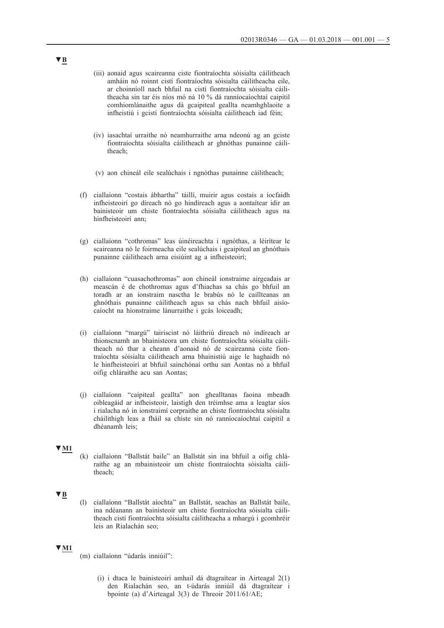- (iii) aonaid agus scaireanna ciste fiontraíochta sóisialta cáilitheach amháin nó roinnt cistí fiontraíochta sóisialta cáilitheacha eile, ar choinníoll nach bhfuil na cistí fiontraíochta sóisialta cáilitheacha sin tar éis níos mó ná 10 % dá ranníocaíochtaí caipitil comhiomlánaithe agus dá gcaipiteal geallta neamhghlaoite a infheistiú i gcistí fiontraíochta sóisialta cáilitheach iad féin;
- (iv) iasachtaí urraithe nó neamhurraithe arna ndeonú ag an gciste fiontraíochta sóisialta cáilitheach ar ghnóthas punainne cáilitheach;
- (v) aon chineál eile sealúchais i ngnóthas punainne cáilitheach;
- (f) ciallaíonn "costais ábhartha" táillí, muirir agus costais a íocfaidh infheisteoirí go díreach nó go hindíreach agus a aontaítear idir an bainisteoir um chiste fiontraíochta sóisialta cáilitheach agus na hinfheisteoirí ann;
- (g) ciallaíonn "cothromas" leas úinéireachta i ngnóthas, a léirítear le scaireanna nó le foirmeacha eile sealúchais i gcaipiteal an ghnóthais punainne cáilitheach arna eisiúint ag a infheisteoirí;
- (h) ciallaíonn "cuasachothromas" aon chineál ionstraime airgeadais ar meascán é de chothromas agus d'fhiachas sa chás go bhfuil an toradh ar an ionstraim nasctha le brabús nó le caillteanas an ghnóthais punainne cáilitheach agus sa chás nach bhfuil aisíocaíocht na hionstraime lánurraithe i gcás loiceadh;
- (i) ciallaíonn "margú" tairiscint nó láithriú díreach nó indíreach ar thionscnamh an bhainisteora um chiste fiontraíochta sóisialta cáilitheach nó thar a cheann d'aonaid nó de scaireanna ciste fiontraíochta sóisialta cáilitheach arna bhainistiú aige le haghaidh nó le hinfheisteoirí at bhfuil sainchónaí orthu san Aontas nó a bhfuil oifig chláraithe acu san Aontas;
- (j) ciallaíonn "caipiteal geallta" aon ghealltanas faoina mbeadh oibleagáid ar infheisteoir, laistigh den tréimhse ama a leagtar síos i rialacha nó in ionstraimí corpraithe an chiste fiontraíochta sóisialta cháilithigh leas a fháil sa chiste sin nó ranníocaíochtaí caipitil a dhéanamh leis;

## **▼M1**

(k) ciallaíonn "Ballstát baile" an Ballstát sin ina bhfuil a oifig chláraithe ag an mbainisteoir um chiste fiontraíochta sóisialta cáilitheach;

## **▼B**

(l) ciallaíonn "Ballstát aíochta" an Ballstát, seachas an Ballstát baile, ina ndéanann an bainisteoir um chiste fiontraíochta sóisialta cáilitheach cistí fiontraíochta sóisialta cáilitheacha a mhargú i gcomhréir leis an Rialachán seo;

#### **▼M1**

- (m) ciallaíonn "údarás inniúil":
	- (i) i dtaca le bainisteoirí amhail dá dtagraítear in Airteagal 2(1) den Rialachán seo, an t-údarás inniúil dá dtagraítear i bpointe (a) d'Airteagal 3(3) de Threoir 2011/61/AE;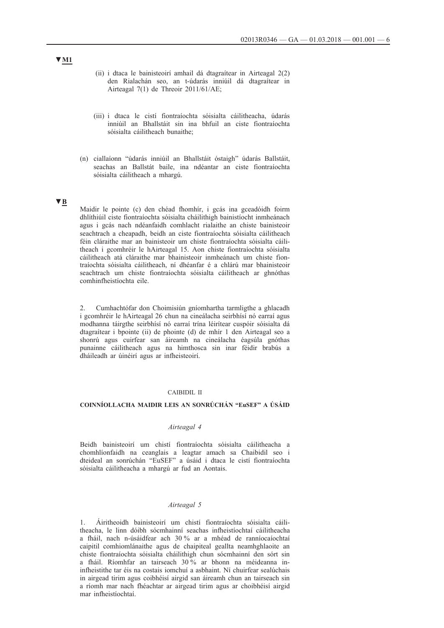- (ii) i dtaca le bainisteoirí amhail dá dtagraítear in Airteagal 2(2) den Rialachán seo, an t-údarás inniúil dá dtagraítear in Airteagal 7(1) de Threoir 2011/61/AE;
- (iii) i dtaca le cistí fiontraíochta sóisialta cáilitheacha, údarás inniúil an Bhallstáit sin ina bhfuil an ciste fiontraíochta sóisialta cáilitheach bunaithe;
- (n) ciallaíonn "údarás inniúil an Bhallstáit óstaigh" údarás Ballstáit, seachas an Ballstát baile, ina ndéantar an ciste fiontraíochta sóisialta cáilitheach a mhargú.

## **▼B**

Maidir le pointe (c) den chéad fhomhír, i gcás ina gceadóidh foirm dhlíthiúil ciste fiontraíochta sóisialta cháilithigh bainistíocht inmheánach agus i gcás nach ndéanfaidh comhlacht rialaithe an chiste bainisteoir seachtrach a cheapadh, beidh an ciste fiontraíochta sóisialta cáilitheach féin cláraithe mar an bainisteoir um chiste fiontraíochta sóisialta cáilitheach i gcomhréir le hAirteagal 15. Aon chiste fiontraíochta sóisialta cáilitheach atá cláraithe mar bhainisteoir inmheánach um chiste fiontraíochta sóisialta cáilitheach, ní dhéanfar é a chlárú mar bhainisteoir seachtrach um chiste fiontraíochta sóisialta cáilitheach ar ghnóthas comhinfheistíochta eile.

2. Cumhachtófar don Choimisiún gníomhartha tarmligthe a ghlacadh i gcomhréir le hAirteagal 26 chun na cineálacha seirbhísí nó earraí agus modhanna táirgthe seirbhísí nó earraí trína léirítear cuspóir sóisialta dá dtagraítear i bpointe (ii) de phointe (d) de mhír 1 den Airteagal seo a shonrú agus cuirfear san áireamh na cineálacha éagsúla gnóthas punainne cáilitheach agus na himthosca sin inar féidir brabús a dháileadh ar úinéirí agus ar infheisteoirí.

## CAIBIDIL II

## **COINNÍOLLACHA MAIDIR LEIS AN SONRÚCHÁN "EuSEF" A ÚSÁID**

### *Airteagal 4*

Beidh bainisteoirí um chistí fiontraíochta sóisialta cáilitheacha a chomhlíonfaidh na ceanglais a leagtar amach sa Chaibidil seo i dteideal an sonrúchán "EuSEF" a úsáid i dtaca le cistí fiontraíochta sóisialta cáilitheacha a mhargú ar fud an Aontais.

## *Airteagal 5*

1. Áiritheoidh bainisteoirí um chistí fiontraíochta sóisialta cáilitheacha, le linn dóibh sócmhainní seachas infheistíochtaí cáilitheacha a fháil, nach n-úsáidfear ach 30 % ar a mhéad de ranníocaíochtaí caipitil comhiomlánaithe agus de chaipiteal geallta neamhghlaoite an chiste fiontraíochta sóisialta cháilithigh chun sócmhainní den sórt sin a fháil. Ríomhfar an tairseach 30 % ar bhonn na méideanna ininfheistithe tar éis na costais iomchuí a asbhaint. Ní chuirfear sealúchais in airgead tirim agus coibhéisí airgid san áireamh chun an tairseach sin a ríomh mar nach fhéachtar ar airgead tirim agus ar choibhéisí airgid mar infheistíochtaí.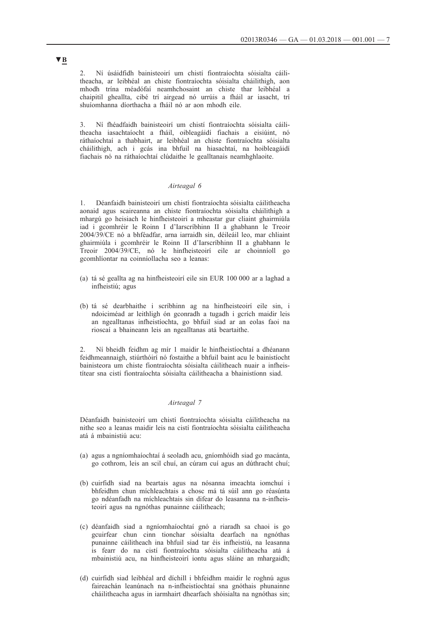2. Ní úsáidfidh bainisteoirí um chistí fiontraíochta sóisialta cáilitheacha, ar leibhéal an chiste fiontraíochta sóisialta cháilithigh, aon mhodh trína méadófaí neamhchosaint an chiste thar leibhéal a chaipitil gheallta, cibé trí airgead nó urrúis a fháil ar iasacht, trí shuíomhanna díorthacha a fháil nó ar aon mhodh eile.

3. Ní fhéadfaidh bainisteoirí um chistí fiontraíochta sóisialta cáilitheacha iasachtaíocht a fháil, oibleagáidí fiachais a eisiúint, nó ráthaíochtaí a thabhairt, ar leibhéal an chiste fiontraíochta sóisialta cháilithigh, ach i gcás ina bhfuil na hiasachtaí, na hoibleagáidí fiachais nó na ráthaíochtaí clúdaithe le gealltanais neamhghlaoite.

## *Airteagal 6*

1. Déanfaidh bainisteoirí um chistí fiontraíochta sóisialta cáilitheacha aonaid agus scaireanna an chiste fiontraíochta sóisialta cháilithigh a mhargú go heisiach le hinfheisteoirí a mheastar gur cliaint ghairmiúla iad i gcomhréir le Roinn I d'Iarscríbhinn II a ghabhann le Treoir 2004/39/CE nó a bhféadfar, arna iarraidh sin, déileáil leo, mar chliaint ghairmiúla i gcomhréir le Roinn II d'Iarscríbhinn II a ghabhann le Treoir 2004/39/CE, nó le hinfheisteoirí eile ar choinníoll go gcomhlíontar na coinníollacha seo a leanas:

- (a) tá sé geallta ag na hinfheisteoirí eile sin EUR 100 000 ar a laghad a infheistiú; agus
- (b) tá sé dearbhaithe i scríbhinn ag na hinfheisteoirí eile sin, i ndoiciméad ar leithligh ón gconradh a tugadh i gcrích maidir leis an ngealltanas infheistíochta, go bhfuil siad ar an eolas faoi na rioscaí a bhaineann leis an ngealltanas atá beartaithe.

2. Ní bheidh feidhm ag mír 1 maidir le hinfheistíochtaí a dhéanann feidhmeannaigh, stiúrthóirí nó fostaithe a bhfuil baint acu le bainistíocht bainisteora um chiste fiontraíochta sóisialta cáilitheach nuair a infheistítear sna cistí fiontraíochta sóisialta cáilitheacha a bhainistíonn siad.

## *Airteagal 7*

Déanfaidh bainisteoirí um chistí fiontraíochta sóisialta cáilitheacha na nithe seo a leanas maidir leis na cistí fiontraíochta sóisialta cáilitheacha atá á mbainistiú acu:

- (a) agus a ngníomhaíochtaí á seoladh acu, gníomhóidh siad go macánta, go cothrom, leis an scil chuí, an cúram cuí agus an dúthracht chuí;
- (b) cuirfidh siad na beartais agus na nósanna imeachta iomchuí i bhfeidhm chun míchleachtais a chosc má tá súil ann go réasúnta go ndéanfadh na míchleachtais sin difear do leasanna na n-infheisteoirí agus na ngnóthas punainne cáilitheach;
- (c) déanfaidh siad a ngníomhaíochtaí gnó a riaradh sa chaoi is go gcuirfear chun cinn tionchar sóisialta dearfach na ngnóthas punainne cáilitheach ina bhfuil siad tar éis infheistiú, na leasanna is fearr do na cistí fiontraíochta sóisialta cáilitheacha atá á mbainistiú acu, na hinfheisteoirí iontu agus sláine an mhargaidh;
- (d) cuirfidh siad leibhéal ard díchill i bhfeidhm maidir le roghnú agus faireachán leanúnach na n-infheistíochtaí sna gnóthais phunainne cháilitheacha agus in iarmhairt dhearfach shóisialta na ngnóthas sin;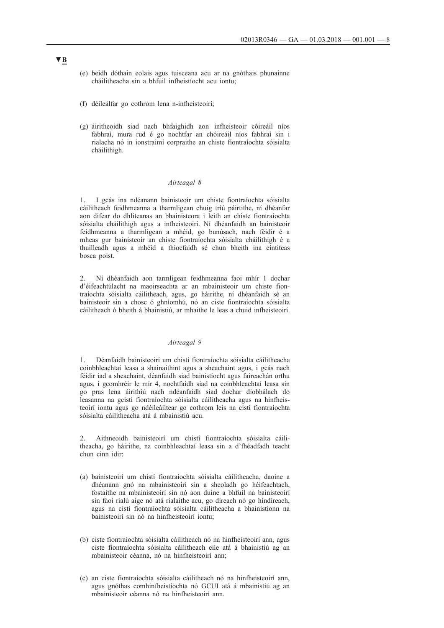- (e) beidh dóthain eolais agus tuisceana acu ar na gnóthais phunainne cháilitheacha sin a bhfuil infheistíocht acu iontu;
- (f) déileálfar go cothrom lena n-infheisteoirí;
- (g) áiritheoidh siad nach bhfaighidh aon infheisteoir cóireáil níos fabhraí, mura rud é go nochtfar an chóireáil níos fabhraí sin i rialacha nó in ionstraimí corpraithe an chiste fiontraíochta sóisialta cháilithigh.

## *Airteagal 8*

1. I gcás ina ndéanann bainisteoir um chiste fiontraíochta sóisialta cáilitheach feidhmeanna a tharmligean chuig tríú páirtithe, ní dhéanfar aon difear do dhliteanas an bhainisteora i leith an chiste fiontraíochta sóisialta cháilithigh agus a infheisteoirí. Ní dhéanfaidh an bainisteoir feidhmeanna a tharmligean a mhéid, go bunúsach, nach féidir é a mheas gur bainisteoir an chiste fiontraíochta sóisialta cháilithigh é a thuilleadh agus a mhéid a thiocfaidh sé chun bheith ina eintiteas bosca poist.

2. Ní dhéanfaidh aon tarmligean feidhmeanna faoi mhír 1 dochar d'éifeachtúlacht na maoirseachta ar an mbainisteoir um chiste fiontraíochta sóisialta cáilitheach, agus, go háirithe, ní dhéanfaidh sé an bainisteoir sin a chosc ó ghníomhú, nó an ciste fiontraíochta sóisialta cáilitheach ó bheith á bhainistiú, ar mhaithe le leas a chuid infheisteoirí.

## *Airteagal 9*

1. Déanfaidh bainisteoirí um chistí fiontraíochta sóisialta cáilitheacha coinbhleachtaí leasa a shainaithint agus a sheachaint agus, i gcás nach féidir iad a sheachaint, déanfaidh siad bainistíocht agus faireachán orthu agus, i gcomhréir le mír 4, nochtfaidh siad na coinbhleachtaí leasa sin go pras lena áirithiú nach ndéanfaidh siad dochar díobhálach do leasanna na gcistí fiontraíochta sóisialta cáilitheacha agus na hinfheisteoirí iontu agus go ndéileáiltear go cothrom leis na cistí fiontraíochta sóisialta cáilitheacha atá á mbainistiú acu.

2. Aithneoidh bainisteoirí um chistí fiontraíochta sóisialta cáilitheacha, go háirithe, na coinbhleachtaí leasa sin a d'fhéadfadh teacht chun cinn idir:

- (a) bainisteoirí um chistí fiontraíochta sóisialta cáilitheacha, daoine a dhéanann gnó na mbainisteoirí sin a sheoladh go héifeachtach, fostaithe na mbainisteoirí sin nó aon duine a bhfuil na bainisteoirí sin faoi rialú aige nó atá rialaithe acu, go díreach nó go hindíreach, agus na cistí fiontraíochta sóisialta cáilitheacha a bhainistíonn na bainisteoirí sin nó na hinfheisteoirí iontu;
- (b) ciste fiontraíochta sóisialta cáilitheach nó na hinfheisteoirí ann, agus ciste fiontraíochta sóisialta cáilitheach eile atá á bhainistiú ag an mbainisteoir céanna, nó na hinfheisteoirí ann;
- (c) an ciste fiontraíochta sóisialta cáilitheach nó na hinfheisteoirí ann, agus gnóthas comhinfheistíochta nó GCUI atá á mbainistiú ag an mbainisteoir céanna nó na hinfheisteoirí ann.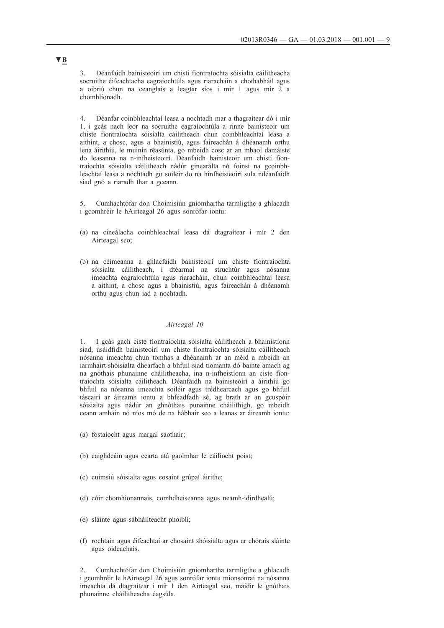3. Déanfaidh bainisteoirí um chistí fiontraíochta sóisialta cáilitheacha socruithe éifeachtacha eagraíochtúla agus riaracháin a chothabháil agus a oibriú chun na ceanglais a leagtar síos i mír 1 agus mír 2 a chomhlíonadh.

4. Déanfar coinbhleachtaí leasa a nochtadh mar a thagraítear dó i mír 1, i gcás nach leor na socruithe eagraíochtúla a rinne bainisteoir um chiste fiontraíochta sóisialta cáilitheach chun coinbhleachtaí leasa a aithint, a chosc, agus a bhainistiú, agus faireachán á dhéanamh orthu lena áirithiú, le muinín réasúnta, go mbeidh cosc ar an mbaol damáiste do leasanna na n-infheisteoirí. Déanfaidh bainisteoir um chistí fiontraíochta sóisialta cáilitheach nádúr ginearálta nó foinsí na gcoinbhleachtaí leasa a nochtadh go soiléir do na hinfheisteoirí sula ndéanfaidh siad gnó a riaradh thar a gceann.

5. Cumhachtófar don Choimisiún gníomhartha tarmligthe a ghlacadh i gcomhréir le hAirteagal 26 agus sonrófar iontu:

- (a) na cineálacha coinbhleachtaí leasa dá dtagraítear i mír 2 den Airteagal seo;
- (b) na céimeanna a ghlacfaidh bainisteoirí um chiste fiontraíochta sóisialta cáilitheach, i dtéarmaí na struchtúr agus nósanna imeachta eagraíochtúla agus riaracháin, chun coinbhleachtaí leasa a aithint, a chosc agus a bhainistiú, agus faireachán á dhéanamh orthu agus chun iad a nochtadh.

#### *Airteagal 10*

1. I gcás gach ciste fiontraíochta sóisialta cáilitheach a bhainistíonn siad, úsáidfidh bainisteoirí um chiste fiontraíochta sóisialta cáilitheach nósanna imeachta chun tomhas a dhéanamh ar an méid a mbeidh an iarmhairt shóisialta dhearfach a bhfuil siad tiomanta dó bainte amach ag na gnóthais phunainne cháilitheacha, ina n-infheistíonn an ciste fiontraíochta sóisialta cáilitheach. Déanfaidh na bainisteoirí a áirithiú go bhfuil na nósanna imeachta soiléir agus trédhearcach agus go bhfuil táscairí ar áireamh iontu a bhféadfadh sé, ag brath ar an gcuspóir sóisialta agus nádúr an ghnóthais punainne cháilithigh, go mbeidh ceann amháin nó níos mó de na hábhair seo a leanas ar áireamh iontu:

- (a) fostaíocht agus margaí saothair;
- (b) caighdeáin agus cearta atá gaolmhar le cáilíocht poist;
- (c) cuimsiú sóisialta agus cosaint grúpaí áirithe;
- (d) cóir chomhionannais, comhdheiseanna agus neamh-idirdhealú;
- (e) sláinte agus sábháilteacht phoiblí;
- (f) rochtain agus éifeachtaí ar chosaint shóisialta agus ar chórais sláinte agus oideachais.

2. Cumhachtófar don Choimisiún gníomhartha tarmligthe a ghlacadh i gcomhréir le hAirteagal 26 agus sonrófar iontu mionsonraí na nósanna imeachta dá dtagraítear i mír 1 den Airteagal seo, maidir le gnóthais phunainne cháilitheacha éagsúla.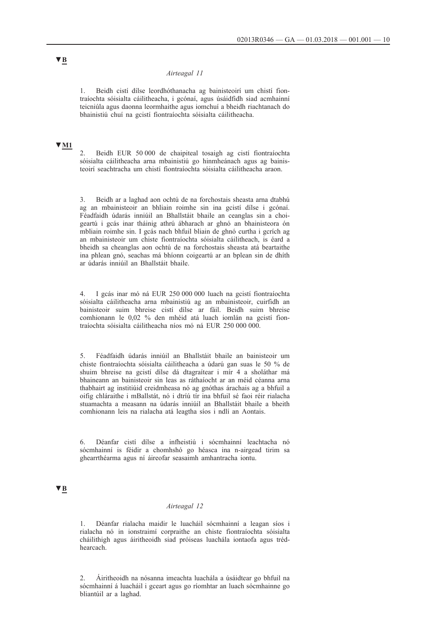### *Airteagal 11*

1. Beidh cistí dílse leordhóthanacha ag bainisteoirí um chistí fiontraíochta sóisialta cáilitheacha, i gcónaí, agus úsáidfidh siad acmhainní teicniúla agus daonna leormhaithe agus iomchuí a bheidh riachtanach do bhainistiú chuí na gcistí fiontraíochta sóisialta cáilitheacha.

# **▼M1**

2. Beidh EUR 50 000 de chaipiteal tosaigh ag cistí fiontraíochta sóisialta cáilitheacha arna mbainistiú go hinmheánach agus ag bainisteoirí seachtracha um chistí fiontraíochta sóisialta cáilitheacha araon.

3. Beidh ar a laghad aon ochtú de na forchostais sheasta arna dtabhú ag an mbainisteoir an bhliain roimhe sin ina gcistí dílse i gcónaí. Féadfaidh údarás inniúil an Bhallstáit bhaile an ceanglas sin a choigeartú i gcás inar tháinig athrú ábharach ar ghnó an bhainisteora ón mbliain roimhe sin. I gcás nach bhfuil bliain de ghnó curtha i gcrích ag an mbainisteoir um chiste fiontraíochta sóisialta cáilitheach, is éard a bheidh sa cheanglas aon ochtú de na forchostais sheasta atá beartaithe ina phlean gnó, seachas má bhíonn coigeartú ar an bplean sin de dhíth ar údarás inniúil an Bhallstáit bhaile.

4. I gcás inar mó ná EUR 250 000 000 luach na gcistí fiontraíochta sóisialta cáilitheacha arna mbainistiú ag an mbainisteoir, cuirfidh an bainisteoir suim bhreise cistí dílse ar fáil. Beidh suim bhreise comhionann le 0,02 % den mhéid atá luach iomlán na gcistí fiontraíochta sóisialta cáilitheacha níos mó ná EUR 250 000 000.

5. Féadfaidh údarás inniúil an Bhallstáit bhaile an bainisteoir um chiste fiontraíochta sóisialta cáilitheacha a údarú gan suas le 50 % de shuim bhreise na gcistí dílse dá dtagraítear i mír 4 a sholáthar má bhaineann an bainisteoir sin leas as ráthaíocht ar an méid céanna arna thabhairt ag institiúid creidmheasa nó ag gnóthas árachais ag a bhfuil a oifig chláraithe i mBallstát, nó i dtríú tír ina bhfuil sé faoi réir rialacha stuamachta a measann na údarás inniúil an Bhallstáit bhaile a bheith comhionann leis na rialacha atá leagtha síos i ndlí an Aontais.

6. Déanfar cistí dílse a infheistiú i sócmhainní leachtacha nó sócmhainní is féidir a chomhshó go héasca ina n-airgead tirim sa ghearrthéarma agus ní áireofar seasaimh amhantracha iontu.

# **▼B**

## *Airteagal 12*

1. Déanfar rialacha maidir le luacháil sócmhainní a leagan síos i rialacha nó in ionstraimí corpraithe an chiste fiontraíochta sóisialta cháilithigh agus áiritheoidh siad próiseas luachála iontaofa agus trédhearcach.

2. Áiritheoidh na nósanna imeachta luachála a úsáidtear go bhfuil na sócmhainní á luacháil i gceart agus go ríomhtar an luach sócmhainne go bliantúil ar a laghad.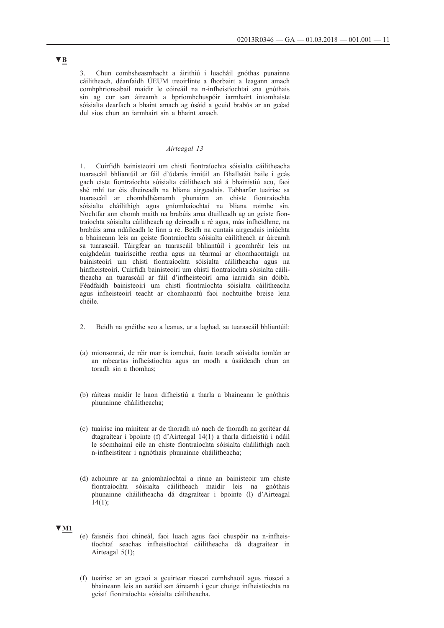3. Chun comhsheasmhacht a áirithiú i luacháil gnóthas punainne cáilitheach, déanfaidh ÚEUM treoirlínte a fhorbairt a leagann amach comhphrionsabail maidir le cóireáil na n-infheistíochtaí sna gnóthais sin ag cur san áireamh a bpríomhchuspóir iarmhairt intomhaiste sóisialta dearfach a bhaint amach ag úsáid a gcuid brabús ar an gcéad dul síos chun an iarmhairt sin a bhaint amach.

## *Airteagal 13*

1. Cuirfidh bainisteoirí um chistí fiontraíochta sóisialta cáilitheacha tuarascáil bhliantúil ar fáil d'údarás inniúil an Bhallstáit baile i gcás gach ciste fiontraíochta sóisialta cáilitheach atá á bhainistiú acu, faoi shé mhí tar éis dheireadh na bliana airgeadais. Tabharfar tuairisc sa tuarascáil ar chomhdhéanamh phunainn an chiste fiontraíochta sóisialta cháilithigh agus gníomhaíochtaí na bliana roimhe sin. Nochtfar ann chomh maith na brabúis arna dtuilleadh ag an gciste fiontraíochta sóisialta cáilitheach ag deireadh a ré agus, más infheidhme, na brabúis arna ndáileadh le linn a ré. Beidh na cuntais airgeadais iniúchta a bhaineann leis an gciste fiontraíochta sóisialta cáilitheach ar áireamh sa tuarascáil. Táirgfear an tuarascáil bhliantúil i gcomhréir leis na caighdeáin tuairiscithe reatha agus na téarmaí ar chomhaontaigh na bainisteoirí um chistí fiontraíochta sóisialta cáilitheacha agus na hinfheisteoirí. Cuirfidh bainisteoirí um chistí fiontraíochta sóisialta cáilitheacha an tuarascáil ar fáil d'infheisteoirí arna iarraidh sin dóibh. Féadfaidh bainisteoirí um chistí fiontraíochta sóisialta cáilitheacha agus infheisteoirí teacht ar chomhaontú faoi nochtuithe breise lena chéile.

- 2. Beidh na gnéithe seo a leanas, ar a laghad, sa tuarascáil bhliantúil:
- (a) mionsonraí, de réir mar is iomchuí, faoin toradh sóisialta iomlán ar an mbeartas infheistíochta agus an modh a úsáideadh chun an toradh sin a thomhas;
- (b) ráiteas maidir le haon dífheistiú a tharla a bhaineann le gnóthais phunainne cháilitheacha;
- (c) tuairisc ina mínítear ar de thoradh nó nach de thoradh na gcritéar dá dtagraítear i bpointe (f) d'Airteagal 14(1) a tharla dífheistiú i ndáil le sócmhainní eile an chiste fiontraíochta sóisialta cháilithigh nach n-infheistítear i ngnóthais phunainne cháilitheacha;
- (d) achoimre ar na gníomhaíochtaí a rinne an bainisteoir um chiste fiontraíochta sóisialta cáilitheach maidir leis na gnóthais phunainne cháilitheacha dá dtagraítear i bpointe (l) d'Airteagal  $14(1);$

## **▼M1**

- (e) faisnéis faoi chineál, faoi luach agus faoi chuspóir na n-infheistíochtaí seachas infheistíochtaí cáilitheacha dá dtagraítear in Airteagal 5(1);
- (f) tuairisc ar an gcaoi a gcuirtear rioscaí comhshaoil agus rioscaí a bhaineann leis an aeráid san áireamh i gcur chuige infheistíochta na gcistí fiontraíochta sóisialta cáilitheacha.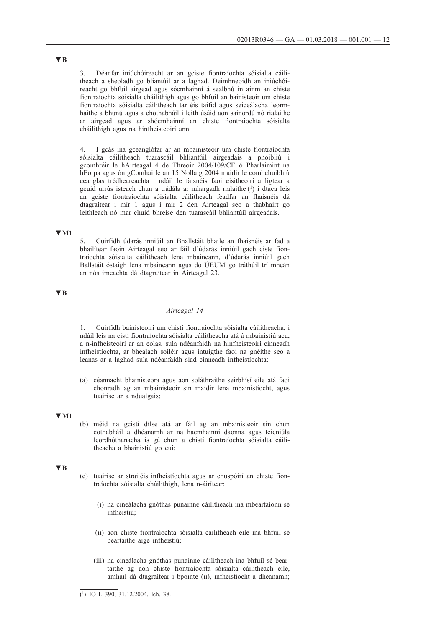3. Déanfar iniúchóireacht ar an gciste fiontraíochta sóisialta cáilitheach a sheoladh go bliantúil ar a laghad. Deimhneoidh an iniúchóireacht go bhfuil airgead agus sócmhainní á sealbhú in ainm an chiste fiontraíochta sóisialta cháilithigh agus go bhfuil an bainisteoir um chiste fiontraíochta sóisialta cáilitheach tar éis taifid agus seiceálacha leormhaithe a bhunú agus a chothabháil i leith úsáid aon sainordú nó rialaithe ar airgead agus ar shócmhainní an chiste fiontraíochta sóisialta cháilithigh agus na hinfheisteoirí ann.

4. I gcás ina gceanglófar ar an mbainisteoir um chiste fiontraíochta sóisialta cáilitheach tuarascáil bhliantúil airgeadais a phoibliú i gcomhréir le hAirteagal 4 de Threoir 2004/109/CE ó Pharlaimint na hEorpa agus ón gComhairle an 15 Nollaig 2004 maidir le comhchuibhiú ceanglas trédhearcachta i ndáil le faisnéis faoi eisitheoirí a ligtear a gcuid urrús isteach chun a trádála ar mhargadh rialaithe (1) i dtaca leis an gciste fiontraíochta sóisialta cáilitheach féadfar an fhaisnéis dá dtagraítear i mír 1 agus i mír 2 den Airteagal seo a thabhairt go leithleach nó mar chuid bhreise den tuarascáil bhliantúil airgeadais.

# **▼M1**

5. Cuirfidh údarás inniúil an Bhallstáit bhaile an fhaisnéis ar fad a bhailítear faoin Airteagal seo ar fáil d'údarás inniúil gach ciste fiontraíochta sóisialta cáilitheach lena mbaineann, d'údarás inniúil gach Ballstáit óstaigh lena mbaineann agus do ÚEUM go tráthúil trí mheán an nós imeachta dá dtagraítear in Airteagal 23.

# **▼B**

### *Airteagal 14*

1. Cuirfidh bainisteoirí um chistí fiontraíochta sóisialta cáilitheacha, i ndáil leis na cistí fiontraíochta sóisialta cáilitheacha atá á mbainistiú acu, a n-infheisteoirí ar an eolas, sula ndéanfaidh na hinfheisteoirí cinneadh infheistíochta, ar bhealach soiléir agus intuigthe faoi na gnéithe seo a leanas ar a laghad sula ndéanfaidh siad cinneadh infheistíochta:

(a) céannacht bhainisteora agus aon soláthraithe seirbhísí eile atá faoi chonradh ag an mbainisteoir sin maidir lena mbainistíocht, agus tuairisc ar a ndualgais;

## **▼M1**

(b) méid na gcistí dílse atá ar fáil ag an mbainisteoir sin chun cothabháil a dhéanamh ar na hacmhainní daonna agus teicniúla leordhóthanacha is gá chun a chistí fiontraíochta sóisialta cáilitheacha a bhainistiú go cuí;

### **▼B**

- (c) tuairisc ar straitéis infheistíochta agus ar chuspóirí an chiste fiontraíochta sóisialta cháilithigh, lena n-áirítear:
	- (i) na cineálacha gnóthas punainne cáilitheach ina mbeartaíonn sé infheistiú;
	- (ii) aon chiste fiontraíochta sóisialta cáilitheach eile ina bhfuil sé beartaithe aige infheistiú;
	- (iii) na cineálacha gnóthas punainne cáilitheach ina bhfuil sé beartaithe ag aon chiste fiontraíochta sóisialta cáilitheach eile, amhail dá dtagraítear i bpointe (ii), infheistíocht a dhéanamh;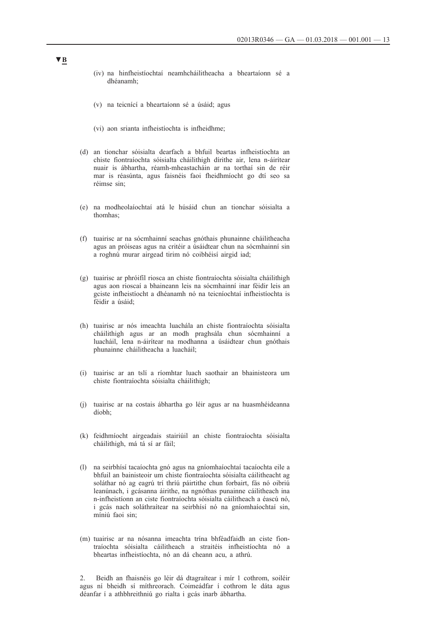- (iv) na hinfheistíochtaí neamhcháilitheacha a bheartaíonn sé a dhéanamh;
- (v) na teicnící a bheartaíonn sé a úsáid; agus
- (vi) aon srianta infheistíochta is infheidhme;
- (d) an tionchar sóisialta dearfach a bhfuil beartas infheistíochta an chiste fiontraíochta sóisialta cháilithigh dírithe air, lena n-áirítear nuair is ábhartha, réamh-mheastacháin ar na torthaí sin de réir mar is réasúnta, agus faisnéis faoi fheidhmíocht go dtí seo sa réimse sin;
- (e) na modheolaíochtaí atá le húsáid chun an tionchar sóisialta a thomhas;
- (f) tuairisc ar na sócmhainní seachas gnóthais phunainne cháilitheacha agus an próiseas agus na critéir a úsáidtear chun na sócmhainní sin a roghnú murar airgead tirim nó coibhéisí airgid iad;
- (g) tuairisc ar phróifíl riosca an chiste fiontraíochta sóisialta cháilithigh agus aon rioscaí a bhaineann leis na sócmhainní inar féidir leis an gciste infheistíocht a dhéanamh nó na teicníochtaí infheistíochta is féidir a úsáid;
- (h) tuairisc ar nós imeachta luachála an chiste fiontraíochta sóisialta cháilithigh agus ar an modh praghsála chun sócmhainní a luacháil, lena n-áirítear na modhanna a úsáidtear chun gnóthais phunainne cháilitheacha a luacháil;
- (i) tuairisc ar an tslí a ríomhtar luach saothair an bhainisteora um chiste fiontraíochta sóisialta cháilithigh;
- (j) tuairisc ar na costais ábhartha go léir agus ar na huasmhéideanna díobh;
- (k) feidhmíocht airgeadais stairiúil an chiste fiontraíochta sóisialta cháilithigh, má tá sí ar fáil;
- (l) na seirbhísí tacaíochta gnó agus na gníomhaíochtaí tacaíochta eile a bhfuil an bainisteoir um chiste fiontraíochta sóisialta cáilitheacht ag soláthar nó ag eagrú trí thríú páirtithe chun forbairt, fás nó oibriú leanúnach, i gcásanna áirithe, na ngnóthas punainne cáilitheach ina n-infheistíonn an ciste fiontraíochta sóisialta cáilitheach a éascú nó, i gcás nach soláthraítear na seirbhísí nó na gníomhaíochtaí sin, míniú faoi sin;
- (m) tuairisc ar na nósanna imeachta trína bhféadfaidh an ciste fiontraíochta sóisialta cáilitheach a straitéis infheistíochta nó a bheartas infheistíochta, nó an dá cheann acu, a athrú.

2. Beidh an fhaisnéis go léir dá dtagraítear i mír 1 cothrom, soiléir agus ní bheidh sí míthreorach. Coimeádfar í cothrom le dáta agus déanfar í a athbhreithniú go rialta i gcás inarb ábhartha.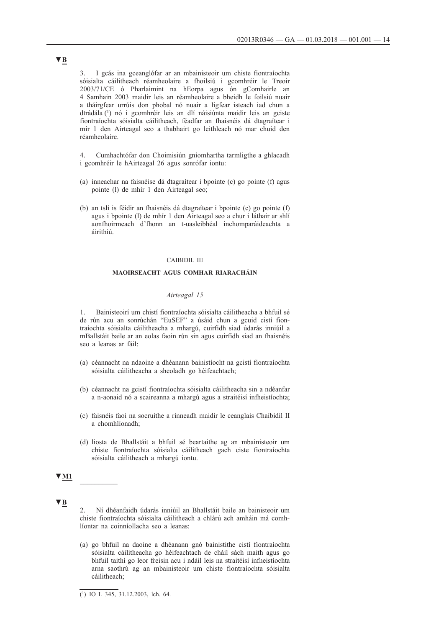3. I gcás ina gceanglófar ar an mbainisteoir um chiste fiontraíochta sóisialta cáilitheach réamheolaire a fhoilsiú i gcomhréir le Treoir 2003/71/CE ó Pharlaimint na hEorpa agus ón gComhairle an 4 Samhain 2003 maidir leis an réamheolaire a bheidh le foilsiú nuair a tháirgfear urrúis don phobal nó nuair a ligfear isteach iad chun a dtrádála (1) nó i gcomhréir leis an dlí náisiúnta maidir leis an gciste fiontraíochta sóisialta cáilitheach, féadfar an fhaisnéis dá dtagraítear i mír 1 den Airteagal seo a thabhairt go leithleach nó mar chuid den réamheolaire.

4. Cumhachtófar don Choimisiún gníomhartha tarmligthe a ghlacadh i gcomhréir le hAirteagal 26 agus sonrófar iontu:

- (a) inneachar na faisnéise dá dtagraítear i bpointe (c) go pointe (f) agus pointe (l) de mhír 1 den Airteagal seo;
- (b) an tslí is féidir an fhaisnéis dá dtagraítear i bpointe (c) go pointe (f) agus i bpointe (l) de mhír 1 den Airteagal seo a chur i láthair ar shlí aonfhoirmeach d'fhonn an t-uasleibhéal inchomparáideachta a áirithiú.

## CAIBIDIL III

## **MAOIRSEACHT AGUS COMHAR RIARACHÁIN**

### *Airteagal 15*

1. Bainisteoirí um chistí fiontraíochta sóisialta cáilitheacha a bhfuil sé de rún acu an sonrúchán "EuSEF" a úsáid chun a gcuid cistí fiontraíochta sóisialta cáilitheacha a mhargú, cuirfidh siad údarás inniúil a mBallstáit baile ar an eolas faoin rún sin agus cuirfidh siad an fhaisnéis seo a leanas ar fáil:

- (a) céannacht na ndaoine a dhéanann bainistíocht na gcistí fiontraíochta sóisialta cáilitheacha a sheoladh go héifeachtach;
- (b) céannacht na gcistí fiontraíochta sóisialta cáilitheacha sin a ndéanfar a n-aonaid nó a scaireanna a mhargú agus a straitéisí infheistíochta;
- (c) faisnéis faoi na socruithe a rinneadh maidir le ceanglais Chaibidil II a chomhlíonadh;
- (d) liosta de Bhallstáit a bhfuil sé beartaithe ag an mbainisteoir um chiste fiontraíochta sóisialta cáilitheach gach ciste fiontraíochta sóisialta cáilitheach a mhargú iontu.

#### **▼M1** \_\_\_\_\_\_\_\_\_\_

## **▼B**

- 2. Ní dhéanfaidh údarás inniúil an Bhallstáit baile an bainisteoir um chiste fiontraíochta sóisialta cáilitheach a chlárú ach amháin má comhlíontar na coinníollacha seo a leanas:
- (a) go bhfuil na daoine a dhéanann gnó bainistithe cistí fiontraíochta sóisialta cáilitheacha go héifeachtach de cháil sách maith agus go bhfuil taithí go leor freisin acu i ndáil leis na straitéisí infheistíochta arna saothrú ag an mbainisteoir um chiste fiontraíochta sóisialta cáilitheach;

 $(1)$  IO L 345, 31.12.2003, lch. 64.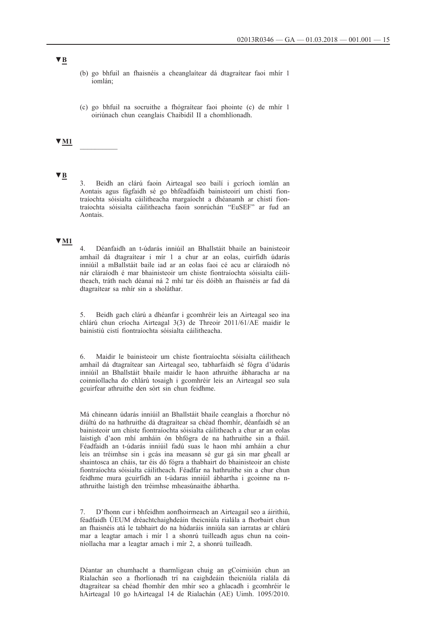- (b) go bhfuil an fhaisnéis a cheanglaítear dá dtagraítear faoi mhír 1 iomlán;
- (c) go bhfuil na socruithe a fhógraítear faoi phointe (c) de mhír 1 oiriúnach chun ceanglais Chaibidil II a chomhlíonadh.

## **▼M1** \_\_\_\_\_\_\_\_\_\_

# **▼B**

3. Beidh an clárú faoin Airteagal seo bailí i gcríoch iomlán an Aontais agus fágfaidh sé go bhféadfaidh bainisteoirí um chistí fiontraíochta sóisialta cáilitheacha margaíocht a dhéanamh ar chistí fiontraíochta sóisialta cáilitheacha faoin sonrúchán "EuSEF" ar fud an Aontais.

## **▼M1**

4. Déanfaidh an t-údarás inniúil an Bhallstáit bhaile an bainisteoir amhail dá dtagraítear i mír 1 a chur ar an eolas, cuirfidh údarás inniúil a mBallstáit baile iad ar an eolas faoi cé acu ar cláraíodh nó nár cláraíodh é mar bhainisteoir um chiste fiontraíochta sóisialta cáilitheach, tráth nach déanaí ná 2 mhí tar éis dóibh an fhaisnéis ar fad dá dtagraítear sa mhír sin a sholáthar.

5. Beidh gach clárú a dhéanfar i gcomhréir leis an Airteagal seo ina chlárú chun críocha Airteagal 3(3) de Threoir 2011/61/AE maidir le bainistiú cistí fiontraíochta sóisialta cáilitheacha.

6. Maidir le bainisteoir um chiste fiontraíochta sóisialta cáilitheach amhail dá dtagraítear san Airteagal seo, tabharfaidh sé fógra d'údarás inniúil an Bhallstáit bhaile maidir le haon athruithe ábharacha ar na coinníollacha do chlárú tosaigh i gcomhréir leis an Airteagal seo sula gcuirfear athruithe den sórt sin chun feidhme.

Má chineann údarás inniúil an Bhallstáit bhaile ceanglais a fhorchur nó diúltú do na hathruithe dá dtagraítear sa chéad fhomhír, déanfaidh sé an bainisteoir um chiste fiontraíochta sóisialta cáilitheach a chur ar an eolas laistigh d'aon mhí amháin ón bhfógra de na hathruithe sin a fháil. Féadfaidh an t-údarás inniúil fadú suas le haon mhí amháin a chur leis an tréimhse sin i gcás ina measann sé gur gá sin mar gheall ar shaintosca an cháis, tar éis dó fógra a thabhairt do bhainisteoir an chiste fiontraíochta sóisialta cáilitheach. Féadfar na hathruithe sin a chur chun feidhme mura gcuirfidh an t-údaras inniúil ábhartha i gcoinne na nathruithe laistigh den tréimhse mheasúnaithe ábhartha.

7. D'fhonn cur i bhfeidhm aonfhoirmeach an Airteagail seo a áirithiú, féadfaidh ÚEUM dréachtchaighdeáin theicniúla rialála a fhorbairt chun an fhaisnéis atá le tabhairt do na húdaráis inniúla san iarratas ar chlárú mar a leagtar amach i mír 1 a shonrú tuilleadh agus chun na coinníollacha mar a leagtar amach i mír 2, a shonrú tuilleadh.

Déantar an chumhacht a tharmligean chuig an gCoimisiún chun an Rialachán seo a fhorlíonadh trí na caighdeáin theicniúla rialála dá dtagraítear sa chéad fhomhír den mhír seo a ghlacadh i gcomhréir le hAirteagal 10 go hAirteagal 14 de Rialachán (AE) Uimh. 1095/2010.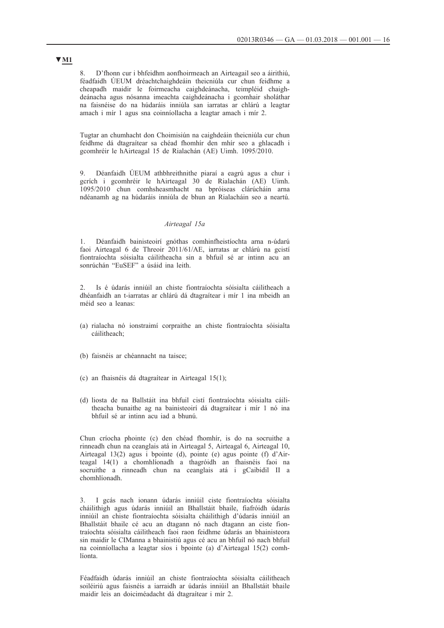8. D'fhonn cur i bhfeidhm aonfhoirmeach an Airteagail seo a áirithiú, féadfaidh ÚEUM dréachtchaighdeáin theicniúla cur chun feidhme a cheapadh maidir le foirmeacha caighdeánacha, teimpléid chaighdeánacha agus nósanna imeachta caighdeánacha i gcomhair sholáthar na faisnéise do na húdaráis inniúla san iarratas ar chlárú a leagtar amach i mír 1 agus sna coinníollacha a leagtar amach i mír 2.

Tugtar an chumhacht don Choimisiún na caighdeáin theicniúla cur chun feidhme dá dtagraítear sa chéad fhomhír den mhír seo a ghlacadh i gcomhréir le hAirteagal 15 de Rialachán (AE) Uimh. 1095/2010.

9. Déanfaidh ÚEUM athbhreithnithe piaraí a eagrú agus a chur i gcrích i gcomhréir le hAirteagal 30 de Rialachán (AE) Uimh. 1095/2010 chun comhsheasmhacht na bpróiseas clárúcháin arna ndéanamh ag na húdaráis inniúla de bhun an Rialacháin seo a neartú.

## *Airteagal 15a*

1. Déanfaidh bainisteoirí gnóthas comhinfheistíochta arna n-údarú faoi Airteagal 6 de Threoir 2011/61/AE, iarratas ar chlárú na gcistí fiontraíochta sóisialta cáilitheacha sin a bhfuil sé ar intinn acu an sonrúchán "EuSEF" a úsáid ina leith.

2. Is é údarás inniúil an chiste fiontraíochta sóisialta cáilitheach a dhéanfaidh an t-iarratas ar chlárú dá dtagraítear i mír 1 ina mbeidh an méid seo a leanas:

- (a) rialacha nó ionstraimí corpraithe an chiste fiontraíochta sóisialta cáilitheach;
- (b) faisnéis ar chéannacht na taisce;
- (c) an fhaisnéis dá dtagraítear in Airteagal 15(1);
- (d) liosta de na Ballstáit ina bhfuil cistí fiontraíochta sóisialta cáilitheacha bunaithe ag na bainisteoirí dá dtagraítear i mír 1 nó ina bhfuil sé ar intinn acu iad a bhunú.

Chun críocha phointe (c) den chéad fhomhír, is do na socruithe a rinneadh chun na ceanglais atá in Airteagal 5, Airteagal 6, Airteagal 10, Airteagal 13(2) agus i bpointe (d), pointe (e) agus pointe (f) d'Airteagal 14(1) a chomhlíonadh a thagróidh an fhaisnéis faoi na socruithe a rinneadh chun na ceanglais atá i gCaibidil II a chomhlíonadh.

3. I gcás nach ionann údarás inniúil ciste fiontraíochta sóisialta cháilithigh agus údarás inniúil an Bhallstáit bhaile, fiafróidh údarás inniúil an chiste fiontraíochta sóisialta cháilithigh d'údarás inniúil an Bhallstáit bhaile cé acu an dtagann nó nach dtagann an ciste fiontraíochta sóisialta cáilitheach faoi raon feidhme údarás an bhainisteora sin maidir le CIManna a bhainistiú agus cé acu an bhfuil nó nach bhfuil na coinníollacha a leagtar síos i bpointe (a) d'Airteagal 15(2) comhlíonta.

Féadfaidh údarás inniúil an chiste fiontraíochta sóisialta cáilitheach soiléiriú agus faisnéis a iarraidh ar údarás inniúil an Bhallstáit bhaile maidir leis an doiciméadacht dá dtagraítear i mír 2.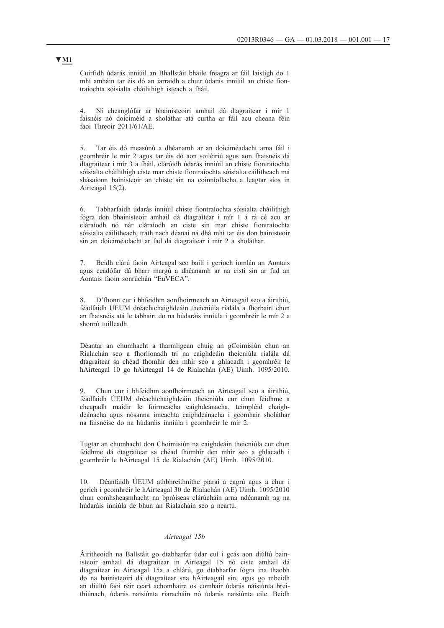Cuirfidh údarás inniúil an Bhallstáit bhaile freagra ar fáil laistigh do 1 mhí amháin tar éis dó an iarraidh a chuir údarás inniúil an chiste fiontraíochta sóisialta cháilithigh isteach a fháil.

4. Ní cheanglófar ar bhainisteoirí amhail dá dtagraítear i mír 1 faisnéis nó doiciméid a sholáthar atá curtha ar fáil acu cheana féin faoi Threoir 2011/61/AE.

5. Tar éis dó measúnú a dhéanamh ar an doiciméadacht arna fáil i gcomhréir le mír 2 agus tar éis dó aon soiléiriú agus aon fhaisnéis dá dtagraítear i mír 3 a fháil, cláróidh údarás inniúil an chiste fiontraíochta sóisialta cháilithigh ciste mar chiste fiontraíochta sóisialta cáilitheach má shásaíonn bainisteoir an chiste sin na coinníollacha a leagtar síos in Airteagal 15(2).

6. Tabharfaidh údarás inniúil chiste fiontraíochta sóisialta cháilithigh fógra don bhainisteoir amhail dá dtagraítear i mír 1 á rá cé acu ar cláraíodh nó nár cláraíodh an ciste sin mar chiste fiontraíochta sóisialta cáilitheach, tráth nach déanaí ná dhá mhí tar éis don bainisteoir sin an doiciméadacht ar fad dá dtagraítear i mír 2 a sholáthar.

7. Beidh clárú faoin Airteagal seo bailí i gcríoch iomlán an Aontais agus ceadófar dá bharr margú a dhéanamh ar na cistí sin ar fud an Aontais faoin sonrúchán "EuVECA".

8. D'fhonn cur i bhfeidhm aonfhoirmeach an Airteagail seo a áirithiú, féadfaidh ÚEUM dréachtchaighdeáin theicniúla rialála a fhorbairt chun an fhaisnéis atá le tabhairt do na húdaráis inniúla i gcomhréir le mír 2 a shonrú tuilleadh.

Déantar an chumhacht a tharmligean chuig an gCoimisiún chun an Rialachán seo a fhorlíonadh trí na caighdeáin theicniúla rialála dá dtagraítear sa chéad fhomhír den mhír seo a ghlacadh i gcomhréir le hAirteagal 10 go hAirteagal 14 de Rialachán (AE) Uimh. 1095/2010.

9. Chun cur i bhfeidhm aonfhoirmeach an Airteagail seo a áirithiú, féadfaidh ÚEUM dréachtchaighdeáin theicniúla cur chun feidhme a cheapadh maidir le foirmeacha caighdeánacha, teimpléid chaighdeánacha agus nósanna imeachta caighdeánacha i gcomhair sholáthar na faisnéise do na húdaráis inniúla i gcomhréir le mír 2.

Tugtar an chumhacht don Choimisiún na caighdeáin theicniúla cur chun feidhme dá dtagraítear sa chéad fhomhír den mhír seo a ghlacadh i gcomhréir le hAirteagal 15 de Rialachán (AE) Uimh. 1095/2010.

10. Déanfaidh ÚEUM athbhreithnithe piaraí a eagrú agus a chur i gcrích i gcomhréir le hAirteagal 30 de Rialachán (AE) Uimh. 1095/2010 chun comhsheasmhacht na bpróiseas clárúcháin arna ndéanamh ag na húdaráis inniúla de bhun an Rialacháin seo a neartú.

#### *Airteagal 15b*

Áiritheoidh na Ballstáit go dtabharfar údar cuí i gcás aon diúltú bainisteoir amhail dá dtagraítear in Airteagal 15 nó ciste amhail dá dtagraítear in Airteagal 15a a chlárú, go dtabharfar fógra ina thaobh do na bainisteoirí dá dtagraítear sna hAirteagail sin, agus go mbeidh an diúltú faoi réir ceart achomhairc os comhair údarás náisiúnta breithiúnach, údarás naisiúnta riaracháin nó údarás naisiúnta eile. Beidh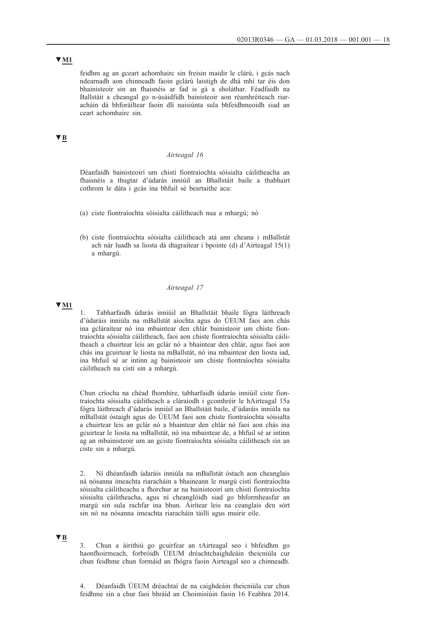## **▼M1**

feidhm ag an gceart achomhairc sin freisin maidir le clárú, i gcás nach ndearnadh aon chinneadh faoin gclárú laistigh de dhá mhí tar éis don bhainisteoir sin an fhaisnéis ar fad is gá a sholáthar. Féadfaidh na Ballstáit a cheangal go n-úsáidfidh bainisteoir aon réamhréiteach riaracháin dá bhforáiltear faoin dlí naisiúnta sula bhfeidhmeoidh siad an ceart achomhairc sin.

## **▼B**

### *Airteagal 16*

Déanfaidh bainisteoirí um chistí fiontraíochta sóisialta cáilitheacha an fhaisnéis a thugtar d'údarás inniúil an Bhallstáit baile a thabhairt cothrom le dáta i gcás ina bhfuil sé beartaithe acu:

- (a) ciste fiontraíochta sóisialta cáilitheach nua a mhargú; nó
- (b) ciste fiontraíochta sóisialta cáilitheach atá ann cheana i mBallstát ach nár luadh sa liosta dá dtagraítear i bpointe (d) d'Airteagal 15(1) a mhargú.

### *Airteagal 17*

## **▼M1**

1. Tabharfaidh údarás inniúil an Bhallstáit bhaile fógra láithreach d'údaráis inniúla na mBallstát aíochta agus do ÚEUM faoi aon chás ina gcláraítear nó ina mbaintear den chlár bainisteoir um chiste fiontraíochta sóisialta cáilitheach, faoi aon chiste fiontraíochta sóisialta cáilitheach a chuirtear leis an gclár nó a bhaintear den chlár, agus faoi aon chás ina gcuirtear le liosta na mBallstát, nó ina mbaintear den liosta iad, ina bhfuil sé ar intinn ag bainisteoir um chiste fiontraíochta sóisialta cáilitheach na cistí sin a mhargú.

Chun críocha na chéad fhomhíre, tabharfaidh údarás inniúil ciste fiontraíochta sóisialta cáilitheach a cláraíodh i gcomhréir le hAirteagal 15a fógra láithreach d'údarás inniúil an Bhallstáit baile, d'údaráis inniúla na mBallstát óstaigh agus do ÚEUM faoi aon chiste fiontraíochta sóisialta a chuirtear leis an gclár nó a bhaintear den chlár nó faoi aon chás ina gcuirtear le liosta na mBallstát, nó ina mbaintear de, a bhfuil sé ar intinn ag an mbainisteoir um an gciste fiontraíochta sóisialta cáilitheach sin an ciste sin a mhargú.

2. Ní dhéanfaidh údaráis inniúla na mBallstát óstach aon cheanglais ná nósanna imeachta riaracháin a bhaineann le margú cistí fiontraíochta sóisialta cáilitheacha a fhorchur ar na bainisteoirí um chistí fiontraíochta sóisialta cáilitheacha, agus ní cheanglóidh siad go bhformheasfar an margú sin sula rachfar ina bhun. Áirítear leis na ceanglais den sórt sin nó na nósanna imeachta riaracháin táillí agus muirir eile.

### **▼B**

3. Chun a áirithiú go gcuirfear an tAirteagal seo i bhfeidhm go haonfhoirmeach, forbróidh ÚEUM dréachtchaighdeáin theicniúla cur chun feidhme chun formáid an fhógra faoin Airteagal seo a chinneadh.

4. Déanfaidh ÚEUM dréachtaí de na caighdeáin theicniúla cur chun feidhme sin a chur faoi bhráid an Choimisiúin faoin 16 Feabhra 2014.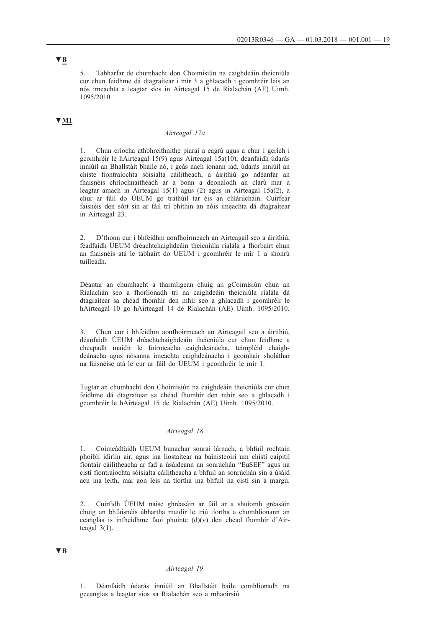5. Tabharfar de chumhacht don Choimisiún na caighdeáin theicniúla cur chun feidhme dá dtagraítear i mír 3 a ghlacadh i gcomhréir leis an nós imeachta a leagtar síos in Airteagal 15 de Rialachán (AE) Uimh. 1095/2010.

# **▼M1**

#### *Airteagal 17a*

1. Chun críocha athbhreithnithe piaraí a eagrú agus a chur i gcrích i gcomhréir le hAirteagal 15(9) agus Airteagal 15a(10), déanfaidh údarás inniúil an Bhallstáit bhaile nó, i gcás nach ionann iad, údarás inniúil an chiste fiontraíochta sóisialta cáilitheach, a áirithiú go ndéanfar an fhaisnéis chríochnaitheach ar a bonn a deonaíodh an clárú mar a leagtar amach in Airteagal 15(1) agus (2) agus in Airteagal 15a(2), a chur ar fáil do ÚEUM go tráthúil tar éis an chlárúcháin. Cuirfear faisnéis den sórt sin ar fáil trí bhíthin an nóis imeachta dá dtagraítear in Airteagal 23.

2. D'fhonn cur i bhfeidhm aonfhoirmeach an Airteagail seo a áirithiú, féadfaidh ÚEUM dréachtchaighdeáin theicniúla rialála a fhorbairt chun an fhaisnéis atá le tabhairt do ÚEUM i gcomhréir le mír 1 a shonrú tuilleadh.

Déantar an chumhacht a tharmligean chuig an gCoimisiún chun an Rialachán seo a fhorlíonadh trí na caighdeáin theicniúla rialála dá dtagraítear sa chéad fhomhír den mhír seo a ghlacadh i gcomhréir le hAirteagal 10 go hAirteagal 14 de Rialachán (AE) Uimh. 1095/2010.

3. Chun cur i bhfeidhm aonfhoirmeach an Airteagail seo a áirithiú, déanfaidh ÚEUM dréachtchaighdeáin theicniúla cur chun feidhme a cheapadh maidir le foirmeacha caighdeánacha, teimpléid chaighdeánacha agus nósanna imeachta caighdeánacha i gcomhair sholáthar na faisnéise atá le cur ar fáil do ÚEUM i gcomhréir le mír 1.

Tugtar an chumhacht don Choimisiún na caighdeáin theicniúla cur chun feidhme dá dtagraítear sa chéad fhomhír den mhír seo a ghlacadh i gcomhréir le hAirteagal 15 de Rialachán (AE) Uimh. 1095/2010.

### *Airteagal 18*

1. Coimeádfaidh ÚEUM bunachar sonraí lárnach, a bhfuil rochtain phoiblí idirlín air, agus ina liostaítear na bainisteoirí um chistí caipitil fiontair cáilitheacha ar fad a úsáideann an sonrúchán "EuSEF" agus na cistí fiontraíochta sóisialta cáilitheacha a bhfuil an sonrúchán sin á úsáid acu ina leith, mar aon leis na tíortha ina bhfuil na cistí sin á margú.

2. Cuirfidh ÚEUM naisc ghréasáin ar fáil ar a shuíomh gréasáin chuig an bhfaisnéis ábhartha maidir le tríú tíortha a chomhlíonann an ceanglas is infheidhme faoi phointe (d)(v) den chéad fhomhír d'Airteagal  $3(1)$ .

## **▼B**

## *Airteagal 19*

1. Déanfaidh údarás inniúil an Bhallstáit baile comhlíonadh na gceanglas a leagtar síos sa Rialachán seo a mhaoirsiú.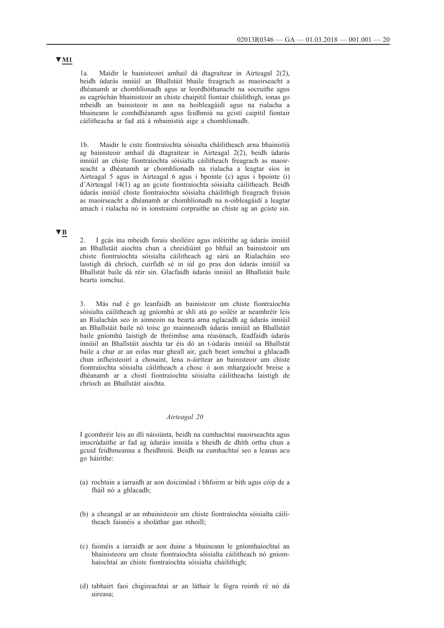1a. Maidir le bainisteoirí amhail dá dtagraítear in Airteagal 2(2), beidh údarás inniúil an Bhallstáit bhaile freagrach as maoirseacht a dhéanamh ar chomhlíonadh agus ar leordhóthanacht na socruithe agus as eagrúchán bhainisteoir an chiste chaipitil fiontair cháilithigh, ionas go mbeidh an bainisteoir in ann na hoibleagáidí agus na rialacha a bhaineann le comhdhéanamh agus feidhmiú na gcistí caipitil fiontair cáilitheacha ar fad atá á mbainistiú aige a chomhlíonadh.

1b. Maidir le ciste fiontraíochta sóisialta cháilitheach arna bhainistiú ag bainisteoir amhail dá dtagraítear in Airteagal 2(2), beidh údarás inniúil an chiste fiontraíochta sóisialta cáilitheach freagrach as maoirseacht a dhéanamh ar chomhlíonadh na rialacha a leagtar síos in Airteagal 5 agus in Airteagal 6 agus i bpointe (c) agus i bpointe (i) d'Airteagal 14(1) ag an gciste fiontraíochta sóisialta cáilitheach. Beidh údarás inniúil chiste fiontraíochta sóisialta cháilithigh freagrach freisin as maoirseacht a dhéanamh ar chomhlíonadh na n-oibleagáidí a leagtar amach i rialacha nó in ionstraimí corpraithe an chiste ag an gciste sin.

## **▼B**

2. I gcás ina mbeidh forais shoiléire agus inléirithe ag údarás inniúil an Bhallstáit aíochta chun a chreidiúint go bhfuil an bainisteoir um chiste fiontraíochta sóisialta cáilitheach ag sárú an Rialacháin seo laistigh dá chríoch, cuirfidh sé in iúl go pras don údarás inniúil sa Bhallstát baile dá réir sin. Glacfaidh údarás inniúil an Bhallstáit baile bearta iomchuí.

3. Más rud é go leanfaidh an bainisteoir um chiste fiontraíochta sóisialta cáilitheach ag gníomhú ar shlí atá go soiléir ar neamhréir leis an Rialachán seo in ainneoin na bearta arna nglacadh ag údarás inniúil an Bhallstáit baile nó toisc go mainneoidh údarás inniúil an Bhallstáit baile gníomhú laistigh de thréimhse ama réasúnach, féadfaidh údarás inniúil an Bhallstáit aíochta tar éis dó an t-údarás inniúil sa Bhallstát baile a chur ar an eolas mar gheall air, gach beart iomchuí a ghlacadh chun infheisteoirí a chosaint, lena n-áirítear an bainisteoir um chiste fiontraíochta sóisialta cáilitheach a chosc ó aon mhargaíocht breise a dhéanamh ar a chistí fiontraíochta sóisialta cáilitheacha laistigh de chríoch an Bhallstáit aíochta.

## *Airteagal 20*

I gcomhréir leis an dlí náisiúnta, beidh na cumhachtaí maoirseachta agus imscrúdaithe ar fad ag údaráis inniúla a bheidh de dhíth orthu chun a gcuid feidhmeanna a fheidhmiú. Beidh na cumhachtaí seo a leanas acu go háirithe:

- (a) rochtain a iarraidh ar aon doiciméad i bhfoirm ar bith agus cóip de a fháil nó a ghlacadh;
- (b) a cheangal ar an mbainisteoir um chiste fiontraíochta sóisialta cáilitheach faisnéis a sholáthar gan mhoill;
- (c) faisnéis a iarraidh ar aon duine a bhaineann le gníomhaíochtaí an bhainisteora um chiste fiontraíochta sóisialta cáilitheach nó gníomhaíochtaí an chiste fiontraíochta sóisialta cháilithigh;
- (d) tabhairt faoi chigireachtaí ar an láthair le fógra roimh ré nó dá uireasa;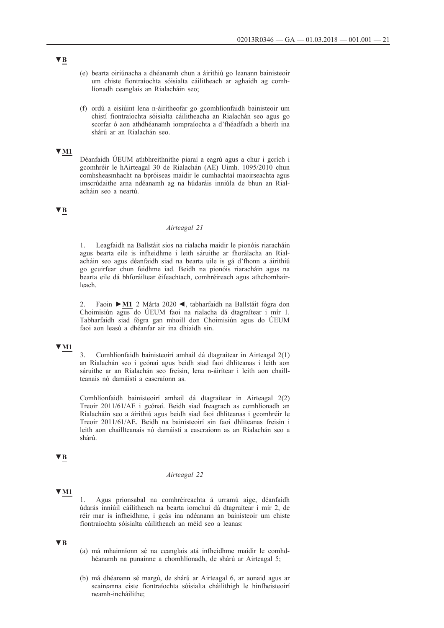- (e) bearta oiriúnacha a dhéanamh chun a áirithiú go leanann bainisteoir um chiste fiontraíochta sóisialta cáilitheach ar aghaidh ag comhlíonadh ceanglais an Rialacháin seo;
- (f) ordú a eisiúint lena n-áiritheofar go gcomhlíonfaidh bainisteoir um chistí fiontraíochta sóisialta cáilitheacha an Rialachán seo agus go scorfar ó aon athdhéanamh iompraíochta a d'fhéadfadh a bheith ina shárú ar an Rialachán seo.

## **▼M1**

Déanfaidh ÚEUM athbhreithnithe piaraí a eagrú agus a chur i gcrích i gcomhréir le hAirteagal 30 de Rialachán (AE) Uimh. 1095/2010 chun comhsheasmhacht na bpróiseas maidir le cumhachtaí maoirseachta agus imscrúdaithe arna ndéanamh ag na húdaráis inniúla de bhun an Rialacháin seo a neartú.

# **▼B**

### *Airteagal 21*

1. Leagfaidh na Ballstáit síos na rialacha maidir le pionóis riaracháin agus bearta eile is infheidhme i leith sáruithe ar fhorálacha an Rialacháin seo agus déanfaidh siad na bearta uile is gá d'fhonn a áirithiú go gcuirfear chun feidhme iad. Beidh na pionóis riaracháin agus na bearta eile dá bhforáiltear éifeachtach, comhréireach agus athchomhairleach.

2. Faoin **►M1** 2 Márta 2020 ◄, tabharfaidh na Ballstáit fógra don Choimisiún agus do ÚEUM faoi na rialacha dá dtagraítear i mír 1. Tabharfaidh siad fógra gan mhoill don Choimisiún agus do ÚEUM faoi aon leasú a dhéanfar air ina dhiaidh sin.

## **▼M1**

3. Comhlíonfaidh bainisteoirí amhail dá dtagraítear in Airteagal 2(1) an Rialachán seo i gcónaí agus beidh siad faoi dhliteanas i leith aon sáruithe ar an Rialachán seo freisin, lena n-áirítear i leith aon chaillteanais nó damáistí a eascraíonn as.

Comhlíonfaidh bainisteoirí amhail dá dtagraítear in Airteagal 2(2) Treoir 2011/61/AE i gcónaí. Beidh siad freagrach as comhlíonadh an Rialacháin seo a áirithiú agus beidh siad faoi dhliteanas i gcomhréir le Treoir 2011/61/AE. Beidh na bainisteoirí sin faoi dhliteanas freisin i leith aon chaillteanais nó damáistí a eascraíonn as an Rialachán seo a shárú.

## **▼B**

#### *Airteagal 22*

#### **▼M1**

1. Agus prionsabal na comhréireachta á urramú aige, déanfaidh údarás inniúil cáilitheach na bearta iomchuí dá dtagraítear i mír 2, de réir mar is infheidhme, i gcás ina ndéanann an bainisteoir um chiste fiontraíochta sóisialta cáilitheach an méid seo a leanas:

## **▼B**

- (a) má mhainníonn sé na ceanglais atá infheidhme maidir le comhdhéanamh na punainne a chomhlíonadh, de shárú ar Airteagal 5;
- (b) má dhéanann sé margú, de shárú ar Airteagal 6, ar aonaid agus ar scaireanna ciste fiontraíochta sóisialta cháilithigh le hinfheisteoirí neamh-incháilithe;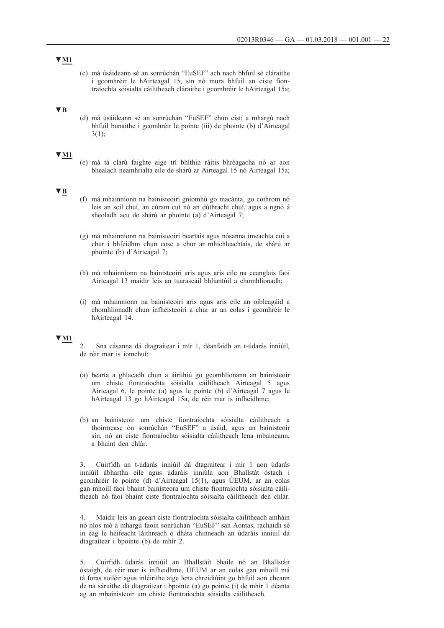(c) má úsáideann sé an sonrúchán "EuSEF" ach nach bhfuil sé cláraithe i gcomhréir le hAirteagal 15, sin nó mura bhfuil an ciste fiontraíochta sóisialta cáilitheach cláraithe i gcomhréir le hAirteagal 15a;

## **▼B**

(d) má úsáideann sé an sonrúchán "EuSEF" chun cistí a mhargú nach bhfuil bunaithe i gcomhréir le pointe (iii) de phointe (b) d'Airteagal  $3(1)$ ;

#### **▼M1**

(e) má tá clárú faighte aige trí bhíthin ráitis bhréagacha nó ar aon bhealach neamhrialta eile de shárú ar Airteagal 15 nó Airteagal 15a;

## **▼B**

- (f) má mhainníonn na bainisteoirí gníomhú go macánta, go cothrom nó leis an scil chuí, an cúram cuí nó an dúthracht chuí, agus a ngnó á sheoladh acu de shárú ar phointe (a) d'Airteagal 7;
- (g) má mhainníonn na bainisteoirí beartais agus nósanna imeachta cuí a chur i bhfeidhm chun cosc a chur ar mhíchleachtais, de shárú ar phointe (b) d'Airteagal 7;
- (h) má mhainníonn na bainisteoirí arís agus arís eile na ceanglais faoi Airteagal 13 maidir leis an tuarascáil bhliantúil a chomhlíonadh;
- (i) má mhainníonn na bainisteoirí arís agus arís eile an oibleagáid a chomhlíonadh chun infheisteoirí a chur ar an eolas i gcomhréir le hAirteagal 14.

### **▼M1**

2. Sna cásanna dá dtagraítear i mír 1, déanfaidh an t-údarás inniúil, de réir mar is iomchuí:

- (a) bearta a ghlacadh chun a áirithiú go gcomhlíonann an bainisteoir um chiste fiontraíochta sóisialta cáilitheach Airteagal 5 agus Airteagal 6, le pointe (a) agus le pointe (b) d'Airteagal 7 agus le hAirteagal 13 go hAirteagal 15a, de réir mar is infheidhme;
- (b) an bainisteoir um chiste fiontraíochta sóisialta cáilitheach a thoirmeasc ón sonrúchán "EuSEF" a úsáid, agus an bainisteoir sin, nó an ciste fiontraíochta sóisialta cáilitheach lena mbaineann, a bhaint den chlár.

3. Cuirfidh an t-údarás inniúil dá dtagraítear i mír 1 aon údarás inniúil ábhartha eile agus údaráis inniúla aon Bhallstát óstach i gcomhréir le pointe (d) d'Airteagal 15(1), agus ÚEUM, ar an eolas gan mhoill faoi bhaint bainisteora um chiste fiontraíochta sóisialta cáilitheach nó faoi bhaint ciste fiontraíochta sóisialta cáilitheach den chlár.

4. Maidir leis an gceart ciste fiontraíochta sóisialta cáilitheach amháin nó níos mó a mhargú faoin sonrúchán "EuSEF" san Aontas, rachaidh sé in éag le héifeacht láithreach ó dháta chinneadh an údaráis inniúil dá dtagraítear i bpointe (b) de mhír 2.

5. Cuirfidh údarás inniúil an Bhallstáit bhaile nó an Bhallstáit óstaigh, de réir mar is infheidhme, ÚEUM ar an eolas gan mhoill má tá foras soiléir agus inléirithe aige lena chreidiúint go bhfuil aon cheann de na sáruithe dá dtagraítear i bpointe (a) go pointe (i) de mhír 1 déanta ag an mbainisteoir um chiste fiontraíochta sóisialta cáilitheach.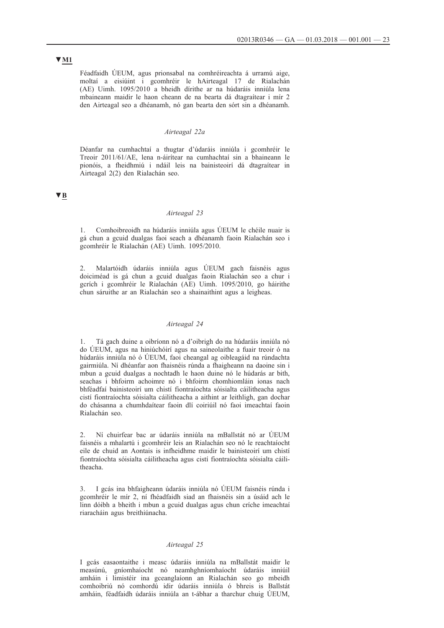## Féadfaidh ÚEUM, agus prionsabal na comhréireachta á urramú aige, moltaí a eisiúint i gcomhréir le hAirteagal 17 de Rialachán (AE) Uimh. 1095/2010 a bheidh dírithe ar na húdaráis inniúla lena mbaineann maidir le haon cheann de na bearta dá dtagraítear i mír 2 den Airteagal seo a dhéanamh, nó gan bearta den sórt sin a dhéanamh.

#### *Airteagal 22a*

Déanfar na cumhachtaí a thugtar d'údaráis inniúla i gcomhréir le Treoir 2011/61/AE, lena n-áirítear na cumhachtaí sin a bhaineann le pionóis, a fheidhmiú i ndáil leis na bainisteoirí dá dtagraítear in Airteagal 2(2) den Rialachán seo.

# **▼B**

#### *Airteagal 23*

1. Comhoibreoidh na húdaráis inniúla agus ÚEUM le chéile nuair is gá chun a gcuid dualgas faoi seach a dhéanamh faoin Rialachán seo i gcomhréir le Rialachán (AE) Uimh. 1095/2010.

2. Malartóidh údaráis inniúla agus ÚEUM gach faisnéis agus doiciméad is gá chun a gcuid dualgas faoin Rialachán seo a chur i gcrích i gcomhréir le Rialachán (AE) Uimh. 1095/2010, go háirithe chun sáruithe ar an Rialachán seo a shainaithint agus a leigheas.

## *Airteagal 24*

1. Tá gach duine a oibríonn nó a d'oibrigh do na húdaráis inniúla nó do ÚEUM, agus na hiniúchóirí agus na saineolaithe a fuair treoir ó na húdaráis inniúla nó ó ÚEUM, faoi cheangal ag oibleagáid na rúndachta gairmiúla. Ní dhéanfar aon fhaisnéis rúnda a fhaigheann na daoine sin i mbun a gcuid dualgas a nochtadh le haon duine nó le húdarás ar bith, seachas i bhfoirm achoimre nó i bhfoirm chomhiomláin ionas nach bhféadfaí bainisteoirí um chistí fiontraíochta sóisialta cáilitheacha agus cistí fiontraíochta sóisialta cáilitheacha a aithint ar leithligh, gan dochar do chásanna a chumhdaítear faoin dlí coiriúil nó faoi imeachtaí faoin Rialachán seo.

2. Ní chuirfear bac ar údaráis inniúla na mBallstát nó ar ÚEUM faisnéis a mhalartú i gcomhréir leis an Rialachán seo nó le reachtaíocht eile de chuid an Aontais is infheidhme maidir le bainisteoirí um chistí fiontraíochta sóisialta cáilitheacha agus cistí fiontraíochta sóisialta cáilitheacha.

3. I gcás ina bhfaigheann údaráis inniúla nó ÚEUM faisnéis rúnda i gcomhréir le mír 2, ní fhéadfaidh siad an fhaisnéis sin a úsáid ach le linn dóibh a bheith i mbun a gcuid dualgas agus chun críche imeachtaí riaracháin agus breithiúnacha.

## *Airteagal 25*

I gcás easaontaithe i measc údaráis inniúla na mBallstát maidir le measúnú, gníomhaíocht nó neamhghníomhaíocht údaráis inniúil amháin i limistéir ina gceanglaíonn an Rialachán seo go mbeidh comhoibriú nó comhordú idir údaráis inniúla ó bhreis is Ballstát amháin, féadfaidh údaráis inniúla an t-ábhar a tharchur chuig ÚEUM,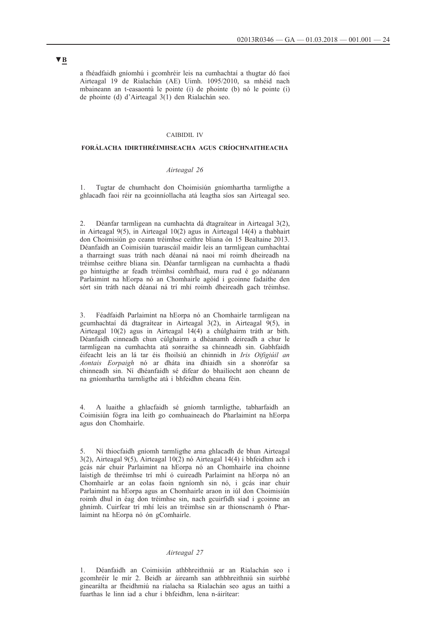a fhéadfaidh gníomhú i gcomhréir leis na cumhachtaí a thugtar dó faoi Airteagal 19 de Rialachán (AE) Uimh. 1095/2010, sa mhéid nach mbaineann an t-easaontú le pointe (i) de phointe (b) nó le pointe (i) de phointe (d) d'Airteagal 3(1) den Rialachán seo.

## CAIBIDIL IV

## **FORÁLACHA IDIRTHRÉIMHSEACHA AGUS CRÍOCHNAITHEACHA**

## *Airteagal 26*

1. Tugtar de chumhacht don Choimisiún gníomhartha tarmligthe a ghlacadh faoi réir na gcoinníollacha atá leagtha síos san Airteagal seo.

2. Déanfar tarmligean na cumhachta dá dtagraítear in Airteagal 3(2), in Airteagal 9(5), in Airteagal 10(2) agus in Airteagal 14(4) a thabhairt don Choimisiún go ceann tréimhse ceithre bliana ón 15 Bealtaine 2013. Déanfaidh an Coimisiún tuarascáil maidir leis an tarmligean cumhachtaí a tharraingt suas tráth nach déanaí ná naoi mí roimh dheireadh na tréimhse ceithre bliana sin. Déanfar tarmligean na cumhachta a fhadú go hintuigthe ar feadh tréimhsí comhfhaid, mura rud é go ndéanann Parlaimint na hEorpa nó an Chomhairle agóid i gcoinne fadaithe den sórt sin tráth nach déanaí ná trí mhí roimh dheireadh gach tréimhse.

3. Féadfaidh Parlaimint na hEorpa nó an Chomhairle tarmligean na gcumhachtaí dá dtagraítear in Airteagal 3(2), in Airteagal 9(5), in Airteagal 10(2) agus in Airteagal 14(4) a chúlghairm tráth ar bith. Déanfaidh cinneadh chun cúlghairm a dhéanamh deireadh a chur le tarmligean na cumhachta atá sonraithe sa chinneadh sin. Gabhfaidh éifeacht leis an lá tar éis fhoilsiú an chinnidh in *Iris Oifigiúil an Aontais Eorpaigh* nó ar dháta ina dhiaidh sin a shonrófar sa chinneadh sin. Ní dhéanfaidh sé difear do bhailíocht aon cheann de na gníomhartha tarmligthe atá i bhfeidhm cheana féin.

4. A luaithe a ghlacfaidh sé gníomh tarmligthe, tabharfaidh an Coimisiún fógra ina leith go comhuaineach do Pharlaimint na hEorpa agus don Chomhairle.

5. Ní thiocfaidh gníomh tarmligthe arna ghlacadh de bhun Airteagal 3(2), Airteagal 9(5), Airteagal 10(2) nó Airteagal 14(4) i bhfeidhm ach i gcás nár chuir Parlaimint na hEorpa nó an Chomhairle ina choinne laistigh de thréimhse trí mhí ó cuireadh Parlaimint na hEorpa nó an Chomhairle ar an eolas faoin ngníomh sin nó, i gcás inar chuir Parlaimint na hEorpa agus an Chomhairle araon in iúl don Choimisiún roimh dhul in éag don tréimhse sin, nach gcuirfidh siad i gcoinne an ghnímh. Cuirfear trí mhí leis an tréimhse sin ar thionscnamh ó Pharlaimint na hEorpa nó ón gComhairle.

## *Airteagal 27*

1. Déanfaidh an Coimisiún athbhreithniú ar an Rialachán seo i gcomhréir le mír 2. Beidh ar áireamh san athbhreithniú sin suirbhé ginearálta ar fheidhmiú na rialacha sa Rialachán seo agus an taithí a fuarthas le linn iad a chur i bhfeidhm, lena n-áirítear: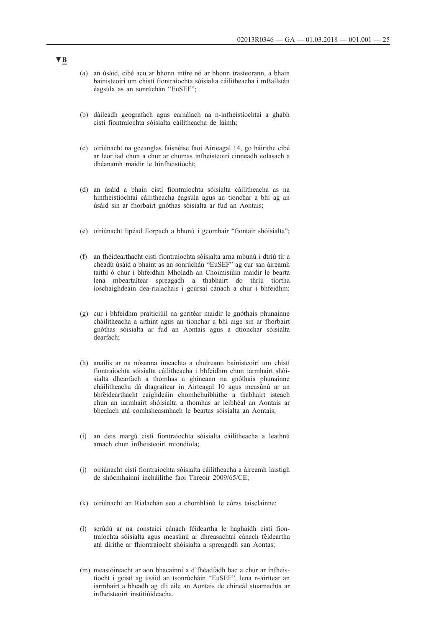- (a) an úsáid, cibé acu ar bhonn intíre nó ar bhonn trasteorann, a bhain bainisteoirí um chistí fiontraíochta sóisialta cáilitheacha i mBallstáit éagsúla as an sonrúchán "EuSEF";
- (b) dáileadh geografach agus earnálach na n-infheistíochtaí a ghabh cistí fiontraíochta sóisialta cáilitheacha de láimh;
- (c) oiriúnacht na gceanglas faisnéise faoi Airteagal 14, go háirithe cibé ar leor iad chun a chur ar chumas infheisteoirí cinneadh eolasach a dhéanamh maidir le hinfheistíocht;
- (d) an úsáid a bhain cistí fiontraíochta sóisialta cáilitheacha as na hinfheistíochtaí cáilitheacha éagsúla agus an tionchar a bhí ag an úsáid sin ar fhorbairt gnóthas sóisialta ar fud an Aontais;
- (e) oiriúnacht lipéad Eorpach a bhunú i gcomhair "fiontair shóisialta";
- (f) an fhéidearthacht cistí fiontraíochta sóisialta arna mbunú i dtríú tír a cheadú úsáid a bhaint as an sonrúchán "EuSEF" ag cur san áireamh taithí ó chur i bhfeidhm Mholadh an Choimisiúin maidir le bearta lena mbeartaítear spreagadh a thabhairt do thríú tíortha íoschaighdeáin dea-rialachais i gcúrsaí cánach a chur i bhfeidhm;
- (g) cur i bhfeidhm praiticiúil na gcritéar maidir le gnóthais phunainne cháilitheacha a aithint agus an tionchar a bhí aige sin ar fhorbairt gnóthas sóisialta ar fud an Aontais agus a dtionchar sóisialta dearfach;
- (h) anailís ar na nósanna imeachta a chuireann bainisteoirí um chistí fiontraíochta sóisialta cáilitheacha i bhfeidhm chun iarmhairt shóisialta dhearfach a thomhas a ghineann na gnóthais phunainne cháilitheacha dá dtagraítear in Airteagal 10 agus measúnú ar an bhféidearthacht caighdeáin chomhchuibhithe a thabhairt isteach chun an iarmhairt shóisialta a thomhas ar leibhéal an Aontais ar bhealach atá comhsheasmhach le beartas sóisialta an Aontais;
- (i) an deis margú cistí fiontraíochta sóisialta cáilitheacha a leathnú amach chun infheisteoirí miondíola;
- (j) oiriúnacht cistí fiontraíochta sóisialta cáilitheacha a áireamh laistigh de shócmhainní incháilithe faoi Threoir 2009/65/CE;
- (k) oiriúnacht an Rialachán seo a chomhlánú le córas taisclainne;
- (l) scrúdú ar na constaicí cánach féideartha le haghaidh cistí fiontraíochta sóisialta agus measúnú ar dhreasachtaí cánach féideartha atá dírithe ar fhiontraíocht shóisialta a spreagadh san Aontas;
- (m) meastóireacht ar aon bhacainní a d'fhéadfadh bac a chur ar infheistíocht i gcistí ag úsáid an tsonrúcháin "EuSEF", lena n-áirítear an iarmhairt a bheadh ag dlí eile an Aontais de chineál stuamachta ar infheisteoirí institiúideacha.